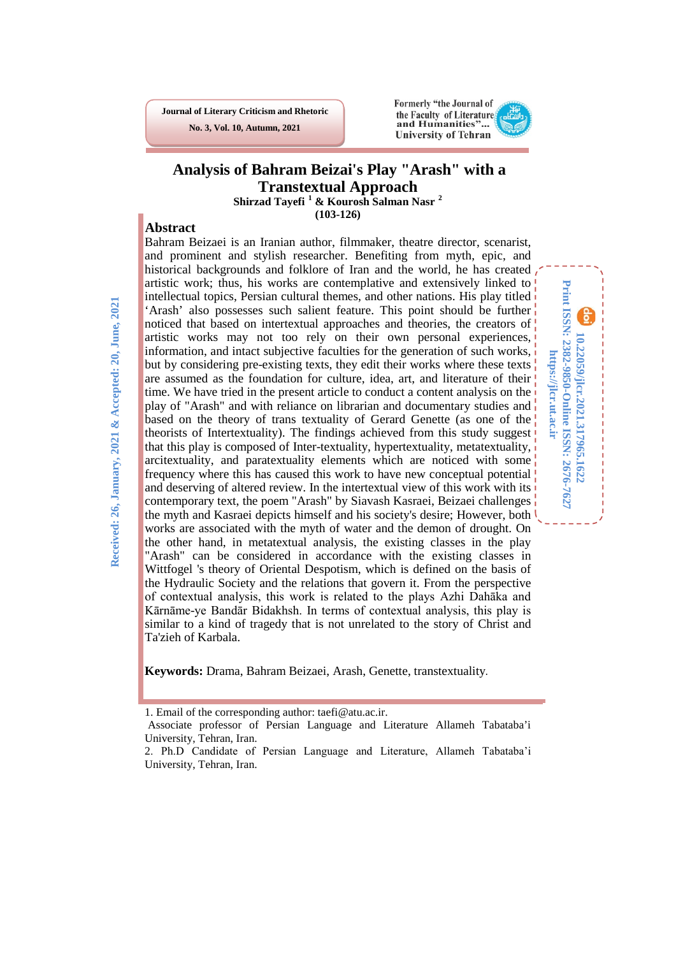**Journal of Literary Criticism and Rhetoric No. 3, Vol. 10, Autumn, 2021**



## **Analysis of Bahram Beizai's Play "Arash" with a Transtextual Approach Shirzad Tayefi [1](#page-0-0) & Kourosh Salman Nasr [2](#page-0-1)**

**(103-126)**

### **Abstract**

Bahram Beizaei is an Iranian author, filmmaker, theatre director, scenarist, and prominent and stylish researcher. Benefiting from myth, epic, and historical backgrounds and folklore of Iran and the world, he has created artistic work; thus, his works are contemplative and extensively linked to intellectual topics, Persian cultural themes, and other nations. His play titled 'Arash' also possesses such salient feature. This point should be further noticed that based on intertextual approaches and theories, the creators of artistic works may not too rely on their own personal experiences, information, and intact subjective faculties for the generation of such works, but by considering pre-existing texts, they edit their works where these texts are assumed as the foundation for culture, idea, art, and literature of their time. We have tried in the present article to conduct a content analysis on the play of "Arash" and with reliance on librarian and documentary studies and based on the theory of trans textuality of Gerard Genette (as one of the theorists of Intertextuality). The findings achieved from this study suggest that this play is composed of Inter-textuality, hypertextuality, metatextuality, arcitextuality, and paratextuality elements which are noticed with some frequency where this has caused this work to have new conceptual potential and deserving of altered review. In the intertextual view of this work with its contemporary text, the poem "Arash" by Siavash Kasraei, Beizaei challenges the myth and Kasraei depicts himself and his society's desire; However, both works are associated with the myth of water and the demon of drought. On the other hand, in metatextual analysis, the existing classes in the play "Arash" can be considered in accordance with the existing classes in Wittfogel 's theory of Oriental Despotism, which is defined on the basis of the Hydraulic Society and the relations that govern it. From the perspective of contextual analysis, this work is related to the plays Azhi Dahāka and Kārnāme-ye Bandār Bidakhsh. In terms of contextual analysis, this play is similar to a kind of tragedy that is not unrelated to the story of Christ and Ta'zieh of Karbala.

Print ISSN: 2382-9850-Online ISSN: 2676-7627 **Print ISSN: 2382-9850-Online ISSN: 2676-7627** 10.22059/jlcr.2021.317965.1622 **10.22059/jlcr.2021.317965.1622** https://jlcr.ut.ac.ir **https://jlcr.ut.ac.ir**

**Keywords:** Drama, Bahram Beizaei, Arash, Genette, transtextuality.

 $\overline{a}$ 

<sup>1.</sup> Email of the corresponding author: taefi@atu.ac.ir.

<span id="page-0-0"></span>Associate professor of Persian Language and Literature Allameh Tabataba'i University, Tehran, Iran.

<span id="page-0-1"></span><sup>2</sup>. Ph.D Candidate of Persian Language and Literature, Allameh Tabataba'i University, Tehran, Iran.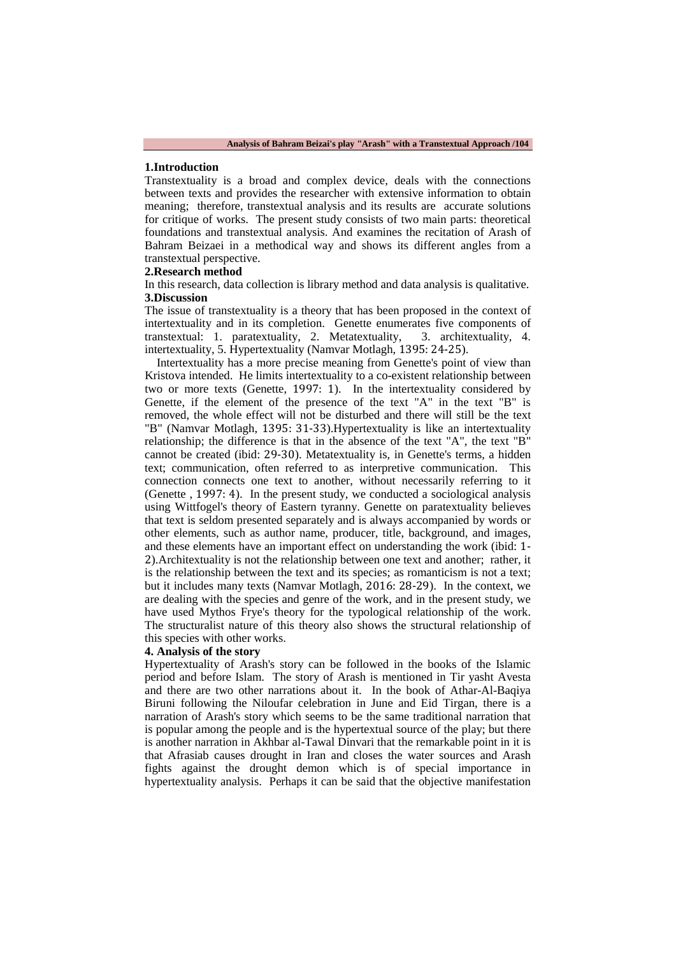#### **1.Introduction**

Transtextuality is a broad and complex device, deals with the connections between texts and provides the researcher with extensive information to obtain meaning; therefore, transtextual analysis and its results are accurate solutions for critique of works. The present study consists of two main parts: theoretical foundations and transtextual analysis. And examines the recitation of Arash of Bahram Beizaei in a methodical way and shows its different angles from a transtextual perspective.

#### **2.Research method**

In this research, data collection is library method and data analysis is qualitative. **3.Discussion**

The issue of transtextuality is a theory that has been proposed in the context of intertextuality and in its completion. Genette enumerates five components of transtextual: 1. paratextuality, 2. Metatextuality, 3. architextuality, 4. intertextuality, 5. Hypertextuality (Namvar Motlagh, 1395: 24-25).

 Intertextuality has a more precise meaning from Genette's point of view than Kristova intended. He limits intertextuality to a co-existent relationship between two or more texts (Genette, 1997: 1). In the intertextuality considered by Genette, if the element of the presence of the text "A" in the text "B" is removed, the whole effect will not be disturbed and there will still be the text "B" (Namvar Motlagh, 1395: 31-33).Hypertextuality is like an intertextuality relationship; the difference is that in the absence of the text "A", the text "B" cannot be created (ibid: 29-30). Metatextuality is, in Genette's terms, a hidden text; communication, often referred to as interpretive communication. This connection connects one text to another, without necessarily referring to it (Genette , 1997: 4). In the present study, we conducted a sociological analysis using Wittfogel's theory of Eastern tyranny. Genette on paratextuality believes that text is seldom presented separately and is always accompanied by words or other elements, such as author name, producer, title, background, and images, and these elements have an important effect on understanding the work (ibid: 1- 2).Architextuality is not the relationship between one text and another; rather, it is the relationship between the text and its species; as romanticism is not a text; but it includes many texts (Namvar Motlagh, 2016: 28-29). In the context, we are dealing with the species and genre of the work, and in the present study, we have used Mythos Frye's theory for the typological relationship of the work. The structuralist nature of this theory also shows the structural relationship of this species with other works.

### **4. Analysis of the story**

Hypertextuality of Arash's story can be followed in the books of the Islamic period and before Islam. The story of Arash is mentioned in Tir yasht Avesta and there are two other narrations about it. In the book of Athar-Al-Baqiya Biruni following the Niloufar celebration in June and Eid Tirgan, there is a narration of Arash's story which seems to be the same traditional narration that is popular among the people and is the hypertextual source of the play; but there is another narration in Akhbar al-Tawal Dinvari that the remarkable point in it is that Afrasiab causes drought in Iran and closes the water sources and Arash fights against the drought demon which is of special importance in hypertextuality analysis. Perhaps it can be said that the objective manifestation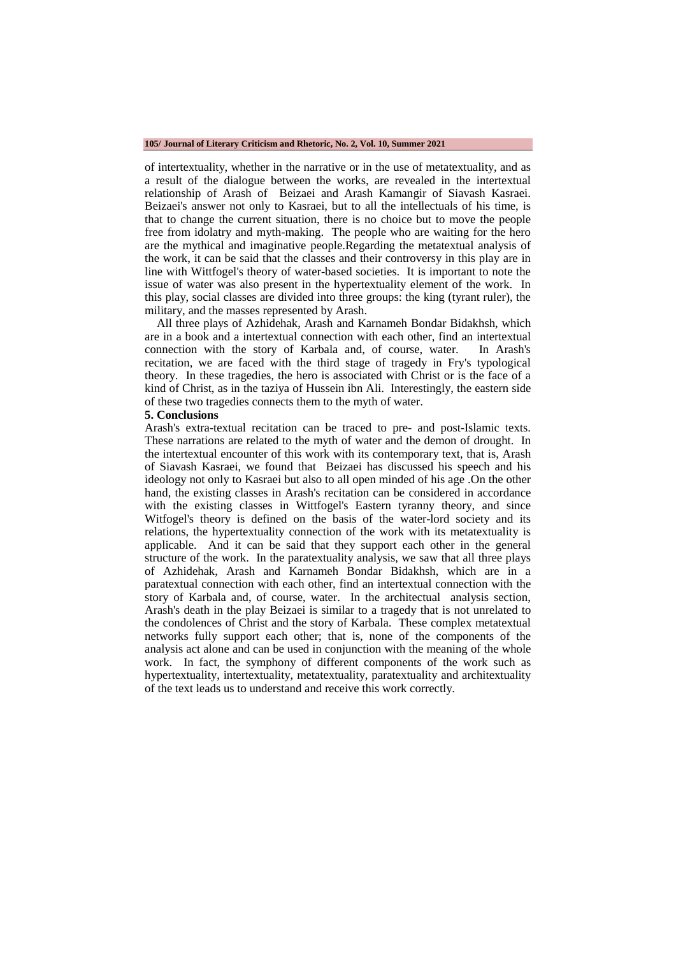#### **105/ Journal of Literary Criticism and Rhetoric, No. 2, Vol. 10, Summer 2021**

of intertextuality, whether in the narrative or in the use of metatextuality, and as a result of the dialogue between the works, are revealed in the intertextual relationship of Arash of Beizaei and Arash Kamangir of Siavash Kasraei. Beizaei's answer not only to Kasraei, but to all the intellectuals of his time, is that to change the current situation, there is no choice but to move the people free from idolatry and myth-making. The people who are waiting for the hero are the mythical and imaginative people.Regarding the metatextual analysis of the work, it can be said that the classes and their controversy in this play are in line with Wittfogel's theory of water-based societies. It is important to note the issue of water was also present in the hypertextuality element of the work. In this play, social classes are divided into three groups: the king (tyrant ruler), the military, and the masses represented by Arash.

 All three plays of Azhidehak, Arash and Karnameh Bondar Bidakhsh, which are in a book and a intertextual connection with each other, find an intertextual connection with the story of Karbala and, of course, water. In Arash's recitation, we are faced with the third stage of tragedy in Fry's typological theory. In these tragedies, the hero is associated with Christ or is the face of a kind of Christ, as in the taziya of Hussein ibn Ali. Interestingly, the eastern side of these two tragedies connects them to the myth of water.

#### **5. Conclusions**

Arash's extra-textual recitation can be traced to pre- and post-Islamic texts. These narrations are related to the myth of water and the demon of drought. In the intertextual encounter of this work with its contemporary text, that is, Arash of Siavash Kasraei, we found that Beizaei has discussed his speech and his ideology not only to Kasraei but also to all open minded of his age .On the other hand, the existing classes in Arash's recitation can be considered in accordance with the existing classes in Wittfogel's Eastern tyranny theory, and since Witfogel's theory is defined on the basis of the water-lord society and its relations, the hypertextuality connection of the work with its metatextuality is applicable. And it can be said that they support each other in the general structure of the work. In the paratextuality analysis, we saw that all three plays of Azhidehak, Arash and Karnameh Bondar Bidakhsh, which are in a paratextual connection with each other, find an intertextual connection with the story of Karbala and, of course, water. In the architectual analysis section, Arash's death in the play Beizaei is similar to a tragedy that is not unrelated to the condolences of Christ and the story of Karbala. These complex metatextual networks fully support each other; that is, none of the components of the analysis act alone and can be used in conjunction with the meaning of the whole work. In fact, the symphony of different components of the work such as hypertextuality, intertextuality, metatextuality, paratextuality and architextuality of the text leads us to understand and receive this work correctly.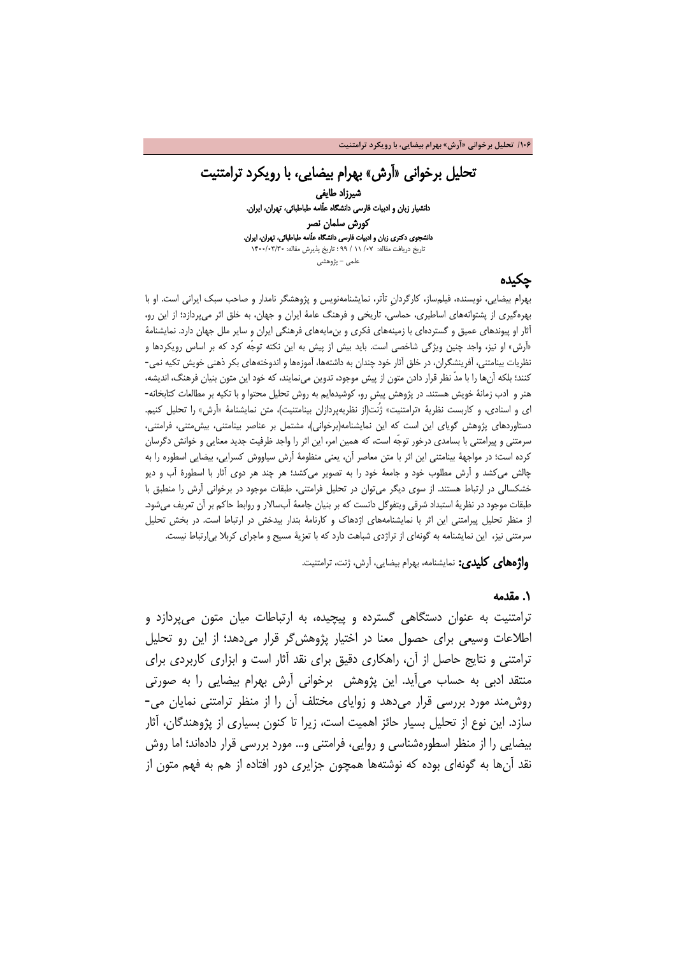**/106 تحلیل برخوانی «آرش» بهرام بیضایی، با رویکرد ترامتنیت**

### تحلیل برخوانی «آرش» بهرام بیضایی، با رویکرد ترامتنیت شیرزاد طایفی دانشیار زبان و ادبیات فارسی دانشگاه علّامه طباطبائی، تهران، ایران. کورش سلمان نصر دانشجوی دکتری زبان و ادبیات فارسی دانشگاه علّامه طباطبائی، تهران، ایران. تاریخ دریافت مقاله: /07 11 / 99 ؛ تاریخ پذیرش مقاله: 1400/03/30

علمی - پژوهشی

## چکیده

بهرام بیضایی، نویسنده، فیلمساز، کارگردانِ تآتر، نمایشنامهنویس و پژوهشگر نامدار و صاحب سبک ایرانی است. او با بهرهگیری از پشتوانههای اساطیری، حماسی، تاریخی و فرهنگ عامۀ ایران و جهان، به خلق اثر میپردازد؛ از این رو، آثار او پیوندهای عمیق و گستردهای با زمینههای فکری و بنمایههای فرهنگی ایران و سایر ملل جهان دارد. نمایشنامۀ «آرش» او نیز، واجد چنین ویژگی شاخصی است. باید بیش از پیش به این نکته توجّه کرد که بر اساس رویکردها و نظریات بینامتنی، آفرینشگران، در خلق آثار خود چندان به داشتهها، آموزهها و اندوختههای بکر ذهنی خویش تکیه نمی- کنند؛ بلکه آنها را با مدّ نظر قرار دادن متون از پیش موجود، تدوین مینمایند، که خود این متون بنیان فرهنگ، اندیشه، هنر و ادب زمانۀ خویش هستند. در پژوهش پیشِ رو، کوشیدهایم به روش تحلیل محتوا و با تکیه بر مطالعات کتابخانه- ای و اسنادی، و کاربست نظریۀ «ترامتنیت» ژُنت(از نظریهپردازان بینامتنیت)، متن نمایشنامۀ «آرش» را تحلیل کنیم. دستاوردهای پژوهش گویای این است که این نمایشنامه(برخوانی)، مشتمل بر عناصر بینامتنی، بیشمتنی، فرامتنی، سرمتنی و پیرامتنی با بسامدی درخور توجّه است، که همین امر، این اثر را واجد ظرفیت جدید معنایی و خوانش دگرسان کرده است؛ در مواجهۀ بینامتنی این اثر با متن معاصر آن، یعنی منظومۀ آرش سیاووش کسرایی، بیضایی اسطوره را به چالش میکشد و آرش مطلوب خود و جامعۀ خود را به تصویر میکشد؛ هر چند هر دوی آثار با اسطورۀ آب و دیو خشکسالی در ارتباط هستند. از سوی دیگر میتوان در تحلیل فرامتنی، طبقات موجود در برخوانی آرش را منطبق با طبقات موجود در نظریۀ استبداد شرقی ویتفوگل دانست که بر بنیان جامعۀ آبسالار و روابط حاکم بر آن تعریف میشود. از منظر تحلیل پیرامتنی این اثر با نمایشنامههای اژدهاک و کارنامۀ بندار بیدخش در ارتباط است. در بخش تحلیل سرمتنی نیز، این نمایشنامه به گونهای از تراژدی شباهت دارد که با تعزیۀ مسیح و ماجرای کربلا بیارتباط نیست.

واژههای کلیدی: نمایشنامه، بهرام بیضایی، آرش، ژنت، ترامتنیت.

### .1 مقدمه

ترامتنیت به عنوان دستگاهی گسترده و پیچیده، به ارتباطات میان متون میپردازد و اطلاعات وسیعی برای حصول معنا در اختیار پژوهشگر قرار میدهد؛ از این رو تحلیل ترامتنی و نتایج حاصل از آن، راهکاری دقیق برای نقد آثار است و ابزاری کاربردی برای منتقد ادبی به حساب میآید. این پژوهش برخوانی آرش بهرام بیضایی را به صورتی روشمند مورد بررسی قرار میدهد و زوایای مختلف آن را از منظر ترامتنی نمایان می- سازد. این نوع از تحلیل بسیار حائز اهمیت است، زیرا تا کنون بسیاری از پژوهندگان، آثار بیضایی را از منظر اسطورهشناسی و روایی، فرامتنی و... مورد بررسی قرار دادهاند؛ اما روش نقد آنها به گونهای بوده که نوشتهها همچون جزایری دور افتاده از هم به فهم متون از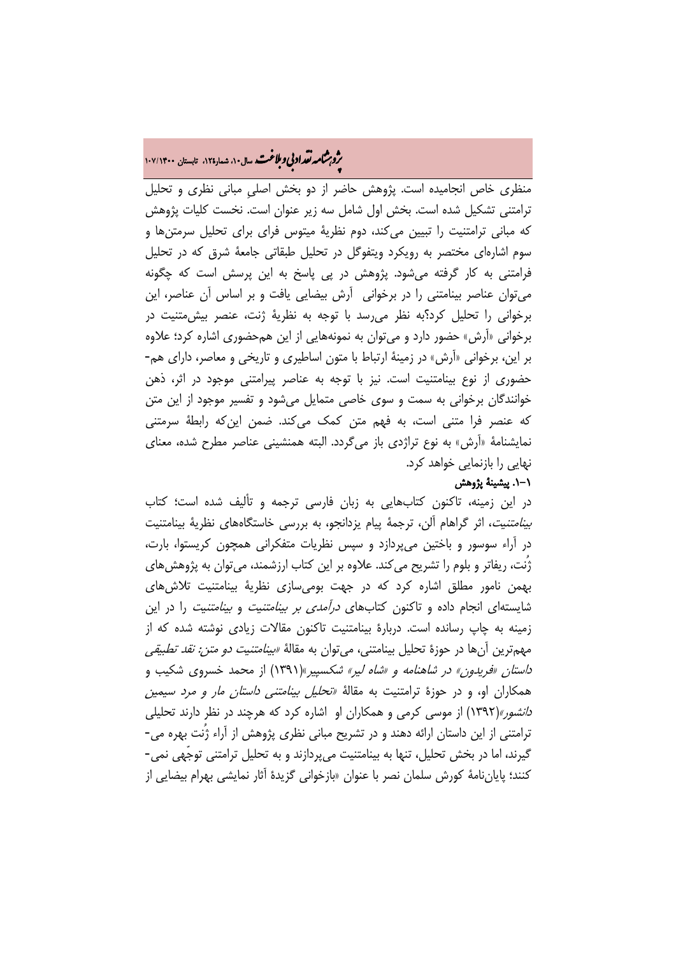# ه<br>**روبرشامه نقداد بي و ملاغت.** سال ۱۰، شمار۱۲۵، تابستان ۱۰۷/۱۴۰۰<br>په

منظری خاص انجامیده است. پژوهش حاضر از دو بخش اصلیِ مبانی نظری و تحلیل ترامتنی تشکیل شده است. بخش اول شامل سه زیر عنوان است. نخست کلیات پژوهش که مبانی ترامتنیت را تبیین میکند، دوم نظریۀ میتوس فرای برای تحلیل سرمتنها و سوم اشارهای مختصر به رویکرد ویتفوگل در تحلیل طبقاتی جامعۀ شرق که در تحلیل فرامتنی به کار گرفته میشود. پژوهش در پی پاسخ به این پرسش است که چگونه میتوان عناصر بینامتنی را در برخوانی آرش بیضایی یافت و بر اساس آن عناصر، این برخوانی را تحلیل کرد؟به نظر میرسد با توجه به نظریۀ ژنت، عنصر بیشمتنیت در برخوانی «آرش» حضور دارد و میتوان به نمونههایی از این همحضوری اشاره کرد؛ علاوه بر این، برخوانی «آرش» در زمینۀ ارتباط با متون اساطیری و تاریخی و معاصر، دارای هم- حضوری از نوع بینامتنیت است. نیز با توجه به عناصر پیرامتنی موجود در اثر، ذهن خوانندگان برخوانی به سمت و سوی خاصی متمایل میشود و تفسیر موجود از این متن که عنصر فرا متنی است، به فهم متن کمک میکند. ضمن اینکه رابطۀ سرمتنی نمایشنامۀ «آرش» به نوع تراژدی باز میگردد. البته همنشینی عناصر مطرح شده، معنای نهایی را بازنمایی خواهد کرد.

### .1-1 پیشینۀ پژوهش

در این زمینه، تاکنون کتابهایی به زبان فارسی ترجمه و تألیف شده است؛ کتاب بینامتنیت، اثر گراهام آلن، ترجمۀ پیام یزدانجو، به بررسی خاستگاههای نظریۀ بینامتنیت در آراء سوسور و باختین میپردازد و سپس نظریات متفکرانی همچون کریستوا، بارت، ژُنت، ریفاتر و بلوم را تشریح میکند. علاوه بر این کتاب ارزشمند، میتوان به پژوهشهای بهمن نامور مطلق اشاره کرد که در جهت بومیسازی نظریۀ بینامتنیت تلاشهای شایستهای انجام داده و تاکنون کتابهای درآمدی بر بینامتنیت و بینامتنیت را در این زمینه به چاپ رسانده است. دربارۀ بینامتنیت تاکنون مقالات زیادی نوشته شده که از مهمترین آنها در حوزۀ تحلیل بینامتنی، میتوان به مقالۀ *«بینامتنیت دو متن: نقد تطبیقی* داستان «فریدون» در شاهنامه و «شاه لیر» شکسپیر»(1391) از محمد خسروی شکیب و همکاران او، و در حوزۀ ترامتنیت به مقالۀ «تحلیل بینامتنی داستان مار و مرد سیمین دانشور»(1392) از موسی کرمی و همکاران او اشاره کرد که هرچند در نظر دارند تحلیلی ترامتنی از این داستان ارائه دهند و در تشریح مبانی نظری پژوهش از آراء ژُنت بهره می- گیرند، اما در بخش تحلیل، تنها به بینامتنیت میپردازند و به تحلیل ترامتنی توجّهی نمی- کنند؛ پایاننامۀ کورش سلمان نصر با عنوان «بازخوانی گزیدۀ آثار نمایشی بهرام بیضایی از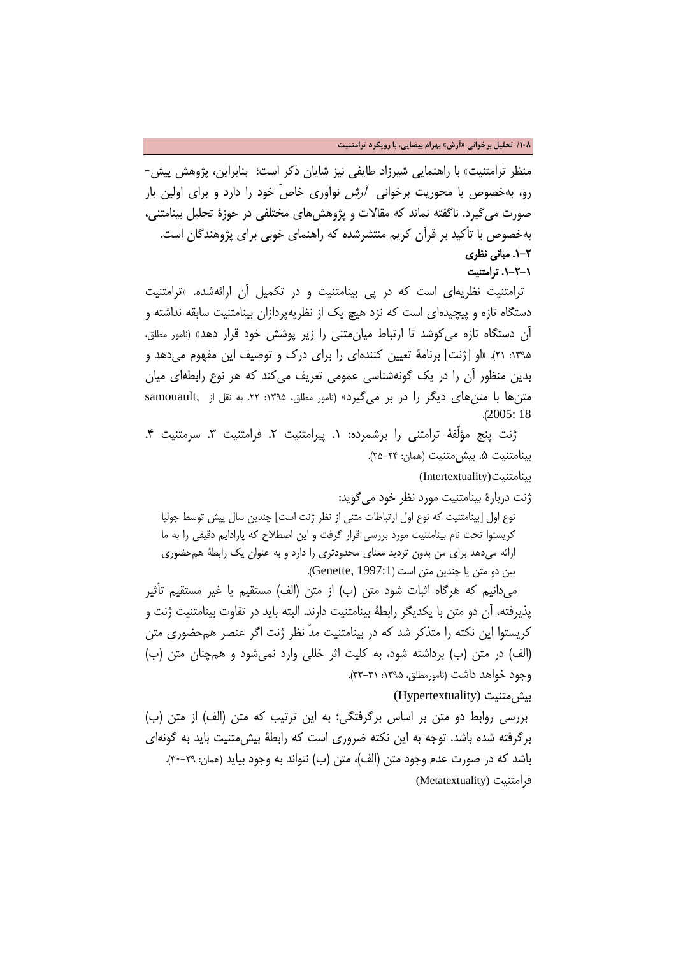#### **/108 تحلیل برخوانی «آرش» بهرام بیضایی، با رویکرد ترامتنیت**

منظر ترامتنیت» با راهنمایی شیرزاد طایفی نیز شایان ذکر است؛ بنابراین، پژوهش پیش- رو، بهخصوص با محوریت برخوانی آرش نوآوری خاصّ خود را دارد و برای اولین بار صورت میگیرد. ناگفته نماند که مقالات و پژوهشهای مختلفی در حوزۀ تحلیل بینامتنی، بهخصوص با تأکید بر قرآن کریم منتشرشده که راهنمای خوبی برای پژوهندگان است. .1-2 مبانی نظری .1-2-1 ترامتنیت

 ترامتنیت نظریهای است که در پی بینامتنیت و در تکمیل آن ارائهشده. «ترامتنیت دستگاه تازه و پیچیدهای است که نزد هیچ یک از نظریهپردازان بینامتنیت سابقه نداشته و آن دستگاه تازه میکوشد تا ارتباط میانمتنی را زیر پوشش خود قرار دهد» (نامور مطلق، :1395 21). «او [ژنت] برنامۀ تعیین کنندهای را برای درک و توصیف این مفهوم میدهد و بدین منظور آن را در یک گونهشناسی عمومی تعریف میکند که هر نوع رابطهای میان متنها با متنهای دیگر را در بر میگیرد» (نامور مطلق، :1395 ،22 به نقل از ,samouault .(2005: 18

ژنت پنج مؤلفۀ ترامتنی را برشمرده: ۱. پیرامتنیت ۲. فرامتنیت ۳. سرمتنیت ۴. بینامتنیت .5 بیشمتنیت (همان: 25-24).

بینامتنیت(Intertextuality(

ژنت دربارۀ بینامتنیت مورد نظر خود میگوید: نوع اول [بینامتنیت که نوع اول ارتباطات متنی از نظر ژنت است] چندین سال پیش توسط جولیا کریستوا تحت نام بینامتنیت مورد بررسی قرار گرفت و این اصطلاح که پارادایم دقیقی را به ما ارائه میدهد برای من بدون تردید معنای محدودتری را دارد و به عنوان یک رابطۀ همحضوری بین دو متن یا چندین متن است (Genette, 1997:1).

 میدانیم که هرگاه اثبات شود متن (ب) از متن (الف) مستقیم یا غیر مستقیم تأثیر پذیرفته، آن دو متن با یکدیگر رابطۀ بینامتنیت دارند. البته باید در تفاوت بینامتنیت ژنت و کریستوا این نکته را متذکر شد که در بینامتنیت مدّ نظر ژنت اگر عنصر همحضوری متن (الف) در متن (ب) برداشته شود، به کلیت اثر خللی وارد نمیشود و همچنان متن (ب) وجود خواهد داشت (نامورمطلق، ۱۳۵۵: ۳۱–۳۳).

بیشمتنیت (Hypertextuality(

بررسی روابط دو متن بر اساس برگرفتگی؛ به این ترتیب که متن (الف) از متن (ب) برگرفته شده باشد. توجه به این نکته ضروری است که رابطۀ بیشمتنیت باید به گونهای باشد که در صورت عدم وجود متن (الف)، متن (ب) نتواند به وجود بیاید (همان: 30-29). فرامتنیت (Metatextuality(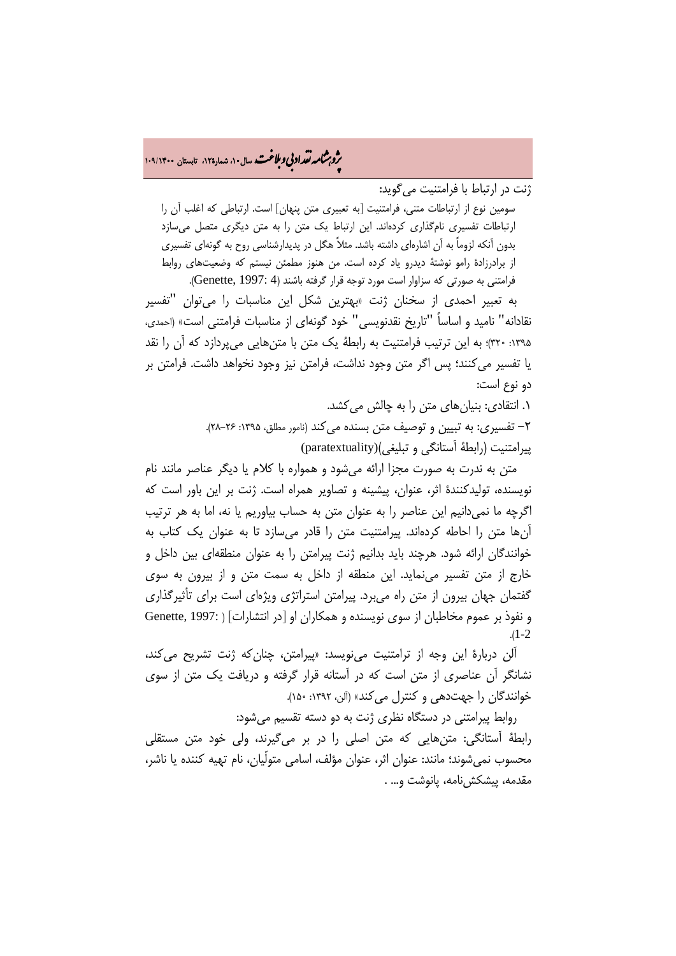# ه م**شمار تقداد بي و ملاغت** سال۱۰۵ شمار۱۲۵ تابستان ۱۰۹/۱۴۰۰<br>و

ژنت در ارتباط با فرامتنیت میگوید:

سومین نوع از ارتباطات متنی، فرامتنیت [به تعبیری متن پنهان] است. ارتباطی که اغلب آن را ارتباطات تفسیری نامگذاری کردهاند. این ارتباط یک متن را به متن دیگری متصل میسازد بدون آنکه لزوماً به آن اشارهای داشته باشد. مثلاً هگل در پدیدارشناسی روح به گونهای تفسیری از برادرزادۀ رامو نوشتۀ دیدرو یاد کرده است. من هنوز مطمئن نیستم که وضعیتهای روابط فرامتنی به صورتی که سزاوار است مورد توجه قرار گرفته باشند (4 :Genette, 1997).

 به تعبیر احمدی از سخنان ژنت «بهترین شکل این مناسبات را میتوان "تفسیر نقادانه" نامید و اساساً "تاریخ نقدنویسی" خود گونهای از مناسبات فرامتنی است» (احمدی، :1395 320)؛ به این ترتیب فرامتنیت به رابطۀ یک متن با متنهایی میپردازد که آن را نقد یا تفسیر میکنند؛ پس اگر متن وجود نداشت، فرامتن نیز وجود نخواهد داشت. فرامتن بر دو نوع است:

۰. انتقادی: بنیان های متن را به چالش می کشد.

-2 تفسیری: به تبیین و توصیف متن بسنده میکند (نامور مطلق، :1395 28-26). پیرامتنیت (رابطۀ آستانگی و تبلیغی)(paratextuality(

 متن به ندرت به صورت مجزا ارائه میشود و همواره با کلام یا دیگر عناصر مانند نام نویسنده، تولیدکنندۀ اثر، عنوان، پیشینه و تصاویر همراه است. ژنت بر این باور است که اگرچه ما نمیدانیم این عناصر را به عنوان متن به حساب بیاوریم یا نه، اما به هر ترتیب آنها متن را احاطه کردهاند. پیرامتنیت متن را قادر میسازد تا به عنوان یک کتاب به خوانندگان ارائه شود. هرچند باید بدانیم ژنت پیرامتن را به عنوان منطقهای بین داخل و خارج از متن تفسیر مینماید. این منطقه از داخل به سمت متن و از بیرون به سوی گفتمان جهان بیرون از متن راه میبرد. پیرامتن استراتژی ویژهای است برای تأثیرگذاری و نفوذ بر عموم مخاطبان از سوی نویسنده و همکاران او [در انتشارات] ( 1997: ,Genette .(1-2

 آلن دربارۀ این وجه از ترامتنیت مینویسد: «پیرامتن، چنانکه ژنت تشریح میکند، نشانگر آن عناصری از متن است که در آستانه قرار گرفته و دریافت یک متن از سوی خوانندگان را جهتدهی و کنترل می کند» (آلن، ۱۳۹۲: ۱۵۰).

روابط پیرامتنی در دستگاه نظری ژنت به دو دسته تقسیم میشود:

رابطۀ آستانگی: متنهایی که متن اصلی را در بر میگیرند، ولی خود متن مستقلی محسوب نمیشوند؛ مانند: عنوان اثر، عنوان مؤلف، اسامی متولّیان، نام تهیه کننده یا ناشر، مقدمه، پیشکش نامه، پانوشت و... .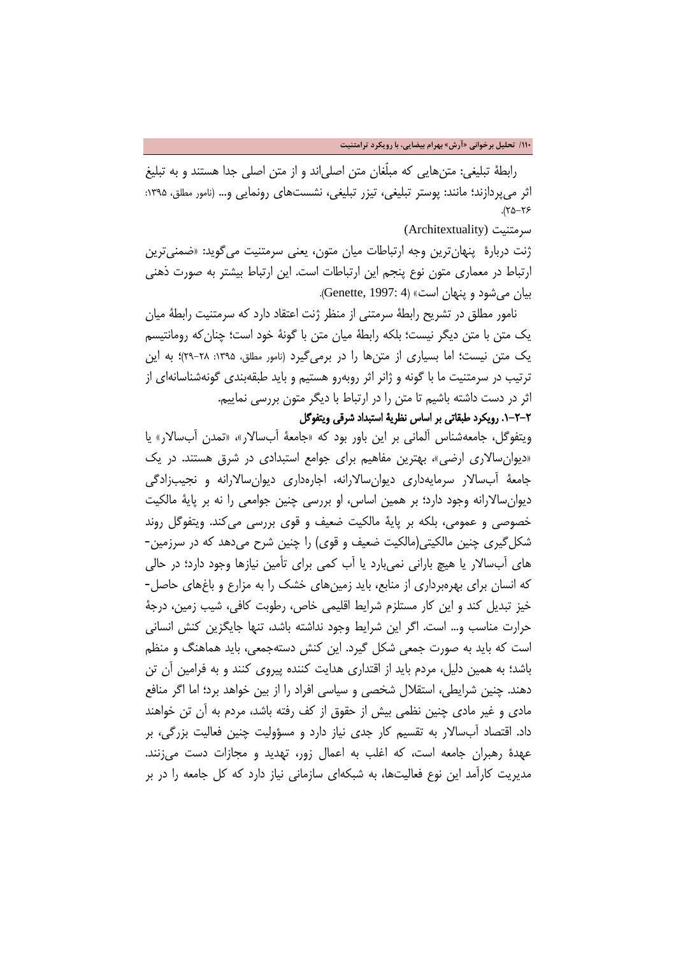رابطۀ تبلیغی: متنهایی که مبلّغان متن اصلیاند و از متن اصلی جدا هستند و به تبلیغ اثر میپردازند؛ مانند: پوستر تبلیغی، تیزر تبلیغی، نشستهای رونمایی و... (نامور مطلق، ۱۳۹۵:  $(70 - 75)$ 

سرمتنیت (Architextuality (

ژنت دربارۀ پنهانترین وجه ارتباطات میان متون، یعنی سرمتنیت میگوید: «ضمنیترین ارتباط در معماری متون نوع پنجم این ارتباطات است. این ارتباط بیشتر به صورت ذهنی بیان می شود و پنهان است» (4 :Genette, 1997).

 نامور مطلق در تشریح رابطۀ سرمتنی از منظر ژنت اعتقاد دارد که سرمتنیت رابطۀ میان یک متن با متن دیگر نیست؛ بلکه رابطۀ میان متن با گونۀ خود است؛ چنانکه رومانتیسم یک متن نیست؛ اما بسیاری از متنها را در برمیگیرد (نامور مطلق، :1395 29-28)؛ به این ترتیب در سرمتنیت ما با گونه و ژانر اثر روبهرو هستیم و باید طبقهبندی گونهشناسانهای از اثر در دست داشته باشیم تا متن را در ارتباط با دیگر متون بررسی نماییم.

## .1-2-2 رویکرد طبقاتی بر اساس نظریۀ استبداد شرقی ویتفوگل

ویتفوگل، جامعهشناس آلمانی بر این باور بود که «جامعۀ آبسالار»، «تمدن آبسالار» یا «دیوانسالاری ارضی»، بهترین مفاهیم برای جوامع استبدادی در شرق هستند. در یک جامعۀ آبسالار سرمایهداری دیوانسالارانه، اجارهداری دیوانسالارانه و نجیبزادگی دیوانسالارانه وجود دارد؛ بر همین اساس، او بررسی چنین جوامعی را نه بر پایۀ مالکیت خصوصی و عمومی، بلکه بر پایۀ مالکیت ضعیف و قوی بررسی میکند. ویتفوگل روند شکلگیری چنین مالکیتی(مالکیت ضعیف و قوی) را چنین شرح میدهد که در سرزمین- های آبسالار یا هیچ بارانی نمیبارد یا آب کمی برای تأمین نیازها وجود دارد؛ در حالی که انسان برای بهرهبرداری از منابع، باید زمینهای خشک را به مزارع و باغهای حاصل- خیز تبدیل کند و این کار مستلزم شرایط اقلیمی خاص، رطوبت کافی، شیب زمین، درجۀ حرارت مناسب و... است. اگر این شرایط وجود نداشته باشد، تنها جایگزین کنش انسانی است که باید به صورت جمعی شکل گیرد. این کنش دستهجمعی، باید هماهنگ و منظم باشد؛ به همین دلیل، مردم باید از اقتداری هدایت کننده پیروی کنند و به فرامین آن تن دهند. چنین شرایطی، استقلال شخصی و سیاسی افراد را از بین خواهد برد؛ اما اگر منافع مادی و غیر مادی چنین نظمی بیش از حقوق از کف رفته باشد، مردم به آن تن خواهند داد. اقتصاد آبسالار به تقسیم کار جدی نیاز دارد و مسؤولیت چنین فعالیت بزرگی، بر عهدۀ رهبران جامعه است، که اغلب به اعمال زور، تهدید و مجازات دست میزنند. مدیریت کارآمد این نوع فعالیتها، به شبکهای سازمانی نیاز دارد که کل جامعه را در بر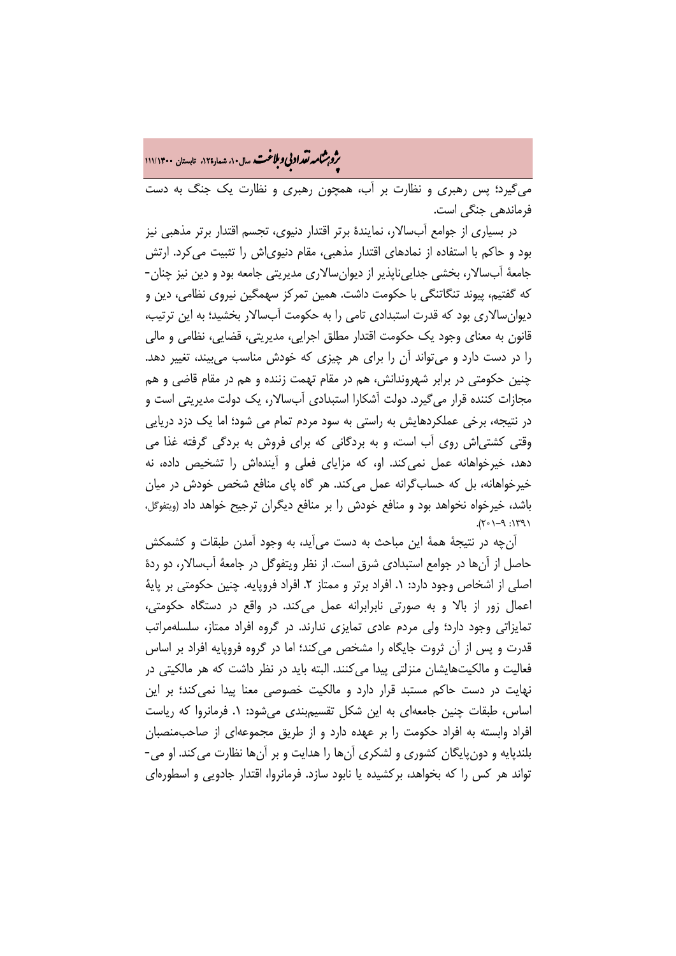ه<br>بروب**شامه نقداد بي و ملاغت** سال ۱۰، شمار۱۲۵، تابستان ۱۱۱/۱۴۰۰<br>په

میگیرد؛ پس رهبری و نظارت بر آب، همچون رهبری و نظارت یک جنگ به دست فرماندهی جنگی است.

 در بسیاری از جوامع آبسالار، نمایندۀ برتر اقتدار دنیوی، تجسم اقتدار برتر مذهبی نیز بود و حاکم با استفاده از نمادهای اقتدار مذهبی، مقام دنیویاش را تثبیت میکرد. ارتش جامعۀ آبسالار، بخشی جداییناپذیر از دیوانسالاری مدیریتی جامعه بود و دین نیز چنان- که گفتیم، پیوند تنگاتنگی با حکومت داشت. همین تمرکز سهمگین نیروی نظامی، دین و دیوانسالاری بود که قدرت استبدادی تامی را به حکومت آبسالار بخشید؛ به این ترتیب، قانون به معنای وجود یک حکومت اقتدار مطلق اجرایی، مدیریتی، قضایی، نظامی و مالی را در دست دارد و میتواند آن را برای هر چیزی که خودش مناسب میبیند، تغییر دهد. چنین حکومتی در برابر شهروندانش، هم در مقام تهمت زننده و هم در مقام قاضی و هم مجازات کننده قرار میگیرد. دولت آشکارا استبدادی آبسالار، یک دولت مدیریتی است و در نتیجه، برخی عملکردهایش به راستی به سود مردم تمام می شود؛ اما یک دزد دریایی وقتی کشتیاش روی آب است، و به بردگانی که برای فروش به بردگی گرفته غذا می دهد، خیرخواهانه عمل نمیکند. او، که مزایای فعلی و آیندهاش را تشخیص داده، نه خیرخواهانه، بل که حسابگرانه عمل میکند. هر گاه پای منافع شخص خودش در میان باشد، خیرخواه نخواهد بود و منافع خودش را بر منافع دیگران ترجیح خواهد داد (ویتفوگل،  $(1971: P-\Gamma \circ 7)$ .

 آنچه در نتیجۀ همۀ این مباحث به دست میآید، به وجود آمدن طبقات و کشمکش حاصل از آنها در جوامع استبدادی شرق است. از نظر ویتفوگل در جامعۀ آبسالار، دو ردۀ اصلی از اشخاص وجود دارد: ۱. افراد برتر و ممتاز ۲. افراد فروپایه. چنین حکومتی بر پایهٔ اعمال زور از بالا و به صورتی نابرابرانه عمل میکند. در واقع در دستگاه حکومتی، تمایزاتی وجود دارد؛ ولی مردم عادی تمایزی ندارند. در گروه افراد ممتاز، سلسلهمراتب قدرت و پس از آن ثروت جایگاه را مشخص میکند؛ اما در گروه فروپایه افراد بر اساس فعالیت و مالکیتهایشان منزلتی پیدا میکنند. البته باید در نظر داشت که هر مالکیتی در نهایت در دست حاکم مستبد قرار دارد و مالکیت خصوصی معنا پیدا نمیکند؛ بر این اساس، طبقات چنین جامعهای به این شکل تقسیمبندی میشود: .1 فرمانروا که ریاست افراد وابسته به افراد حکومت را بر عهده دارد و از طریق مجموعهای از صاحبمنصبان بلندپایه و دونپایگان کشوری و لشکری آنها را هدایت و بر آنها نظارت میکند. او می- تواند هر کس را که بخواهد، برکشیده یا نابود سازد. فرمانروا، اقتدار جادویی و اسطورهای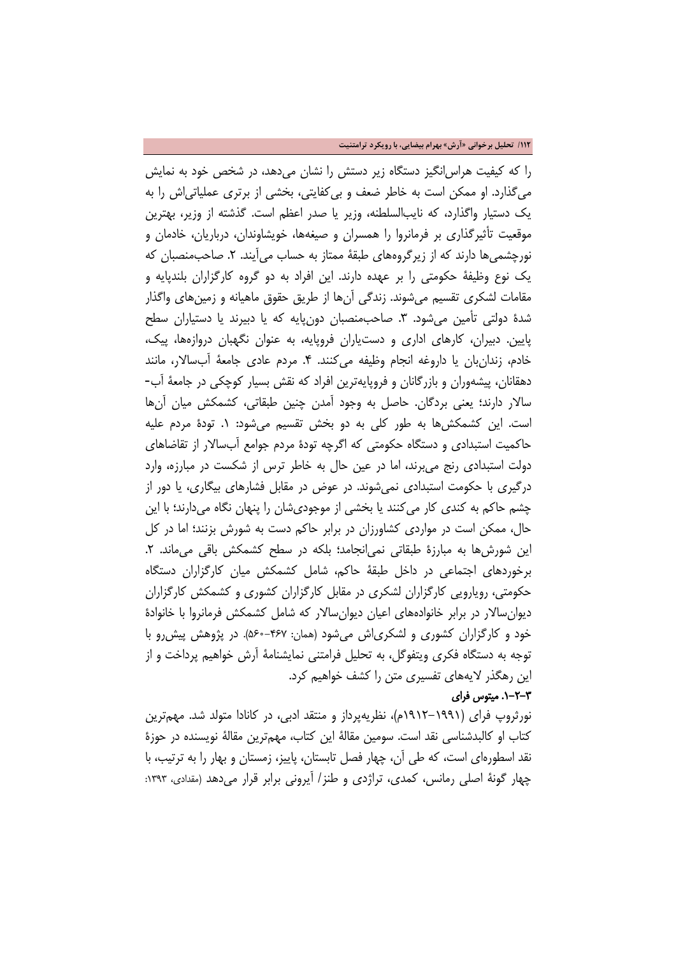**/112 تحلیل برخوانی «آرش» بهرام بیضایی، با رویکرد ترامتنیت**

را که کیفیت هراسانگیز دستگاه زیر دستش را نشان میدهد، در شخص خود به نمایش میگذارد. او ممکن است به خاطر ضعف و بیکفایتی، بخشی از برتری عملیاتیاش را به یک دستیار واگذارد، که نایبالسلطنه، وزیر یا صدر اعظم است. گذشته از وزیر، بهترین موقعیت تأثیرگذاری بر فرمانروا را همسران و صیغهها، خویشاوندان، درباریان، خادمان و نورچشمیها دارند که از زیرگروههای طبقۀ ممتاز به حساب میآیند. ۲. صاحبمنصبان که یک نوع وظیفۀ حکومتی را بر عهده دارند. این افراد به دو گروه کارگزاران بلندپایه و مقامات لشکری تقسیم میشوند. زندگی آنها از طریق حقوق ماهیانه و زمینهای واگذار شدۀ دولتی تأمین میشود. ٣. صاحبمنصبان دونٍپایه که یا دبیرند یا دستیاران سطح پایین. دبیران، کارهای اداری و دستیاران فروپایه، به عنوان نگهبان دروازهها، پیک، خادم، زندانبان یا داروغه انجام وظیفه میکنند. .4 مردم عادی جامعۀ آبسالار، مانند دهقانان، پیشهوران و بازرگانان و فروپایهترین افراد که نقش بسیار کوچکی در جامعۀ آب- سالار دارند؛ یعنی بردگان. حاصل به وجود آمدن چنین طبقاتی، کشمکش میان آنها است. این کشمکشها به طور کلی به دو بخش تقسیم میشود: .1 تودۀ مردم علیه حاکمیت استبدادی و دستگاه حکومتی که اگرچه تودۀ مردم جوامع آبسالار از تقاضاهای دولت استبدادی رنج میبرند، اما در عین حال به خاطر ترس از شکست در مبارزه، وارد درگیری با حکومت استبدادی نمیشوند. در عوض در مقابل فشارهای بیگاری، یا دور از چشم حاکم به کندی کار میکنند یا بخشی از موجودیشان را پنهان نگاه میدارند؛ با این حال، ممکن است در مواردی کشاورزان در برابر حاکم دست به شورش بزنند؛ اما در کل این شورشها به مبارزۀ طبقاتی نمی انجامد؛ بلکه در سطح کشمکش باقی می ماند. ۲. برخوردهای اجتماعی در داخل طبقۀ حاکم، شامل کشمکش میان کارگزاران دستگاه حکومتی، رویارویی کارگزاران لشکری در مقابل کارگزاران کشوری و کشمکش کارگزاران دیوانسالار در برابر خانوادههای اعیان دیوانسالار که شامل کشمکش فرمانروا با خانوادۀ خود و کارگزاران کشوری و لشکریاش میشود (همان: 560-467). در پژوهش پیشرو با توجه به دستگاه فکری ویتفوگل، به تحلیل فرامتنی نمایشنامۀ آرش خواهیم پرداخت و از این رهگذر لایههای تفسیری متن را کشف خواهیم کرد.

#### .1-2-3 میتوس فرای

نورثروپ فرای (1912-1991م)، نظریهپرداز و منتقد ادبی، در کانادا متولد شد. مهمترین کتاب او کالبدشناسی نقد است. سومین مقالۀ این کتاب، مهمترین مقالۀ نویسنده در حوزۀ نقد اسطورهای است، که طی آن، چهار فصل تابستان، پاییز، زمستان و بهار را به ترتیب، با چهار گونۀ اصلی رمانس، کمدی، تراژدی و طنز/ آیرونی برابر قرار می دهد (مقدادی، ۱۳۹۳: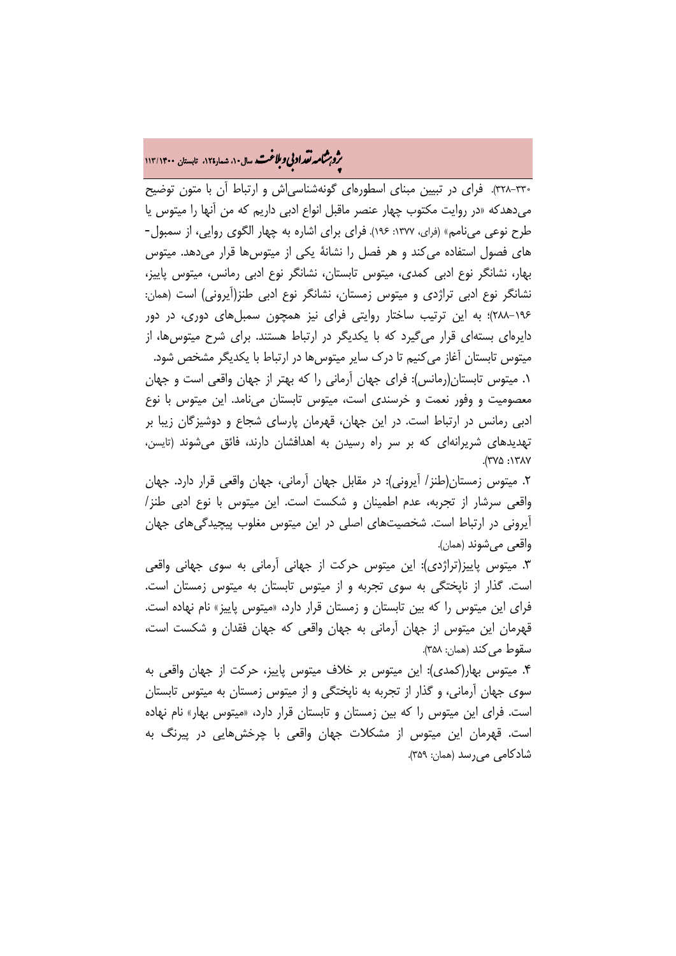# ه م**شمار تقراد بي و ملاغت.** سال ۱۰، شمار۱۲۵، تابستان ۱۱۳/۱۴۰۰<br>و

328-330). فرای در تبیین مبنای اسطورهای گونهشناسیاش و ارتباط آن با متون توضیح میدهدکه «در روایت مکتوب چهار عنصر ماقبل انواع ادبی داریم که من آنها را میتوس یا طرح نوعی مینامم» (فرای، :1377 196). فرای برای اشاره به چهار الگوی روایی، از سمبول- های فصول استفاده میکند و هر فصل را نشانۀ یکی از میتوسها قرار میدهد. میتوس بهار، نشانگر نوع ادبی کمدی، میتوس تابستان، نشانگر نوع ادبی رمانس، میتوس پاییز، نشانگر نوع ادبی تراژدی و میتوس زمستان، نشانگر نوع ادبی طنز(آیرونی) است (همان: 288-196)؛ به این ترتیب ساختار روایتی فرای نیز همچون سمبلهای دوری، در دور دایرهای بستهای قرار میگیرد که با یکدیگر در ارتباط هستند. برای شرح میتوسها، از میتوس تابستان آغاز میکنیم تا درک سایر میتوسها در ارتباط با یکدیگر مشخص شود. .1 میتوس تابستان(رمانس): فرای جهان آرمانی را که بهتر از جهان واقعی است و جهان معصومیت و وفور نعمت و خرسندی است، میتوس تابستان مینامد. این میتوس با نوع ادبی رمانس در ارتباط است. در این جهان، قهرمان پارسای شجاع و دوشیزگان زیبا بر تهدیدهای شریرانهای که بر سر راه رسیدن به اهدافشان دارند، فائق میشوند (تایسن، ٠١٣٨٧: ٢٧٥).

.2 میتوس زمستان(طنز/ آیرونی): در مقابل جهان آرمانی، جهان واقعی قرار دارد. جهان واقعی سرشار از تجربه، عدم اطمینان و شکست است. این میتوس با نوع ادبی طنز/ آیرونی در ارتباط است. شخصیتهای اصلی در این میتوس مغلوب پیچیدگیهای جهان واقعی میشوند (همان).

.3 میتوس پاییز(تراژدی): این میتوس حرکت از جهانی آرمانی به سوی جهانی واقعی است. گذار از ناپختگی به سوی تجربه و از میتوس تابستان به میتوس زمستان است. فرای این میتوس را که بین تابستان و زمستان قرار دارد، «میتوس پاییز» نام نهاده است. قهرمان این میتوس از جهان آرمانی به جهان واقعی که جهان فقدان و شکست است، سقوط میکند (همان: ٣۵٨).

.4 میتوس بهار(کمدی): این میتوس بر خلاف میتوس پاییز، حرکت از جهان واقعی به سوی جهان آرمانی، و گذار از تجربه به ناپختگی و از میتوس زمستان به میتوس تابستان است. فرای این میتوس را که بین زمستان و تابستان قرار دارد، «میتوس بهار» نام نهاده است. قهرمان این میتوس از مشکلات جهان واقعی با چرخشهایی در پیرنگ به شادکامی میرسد (همان: 359).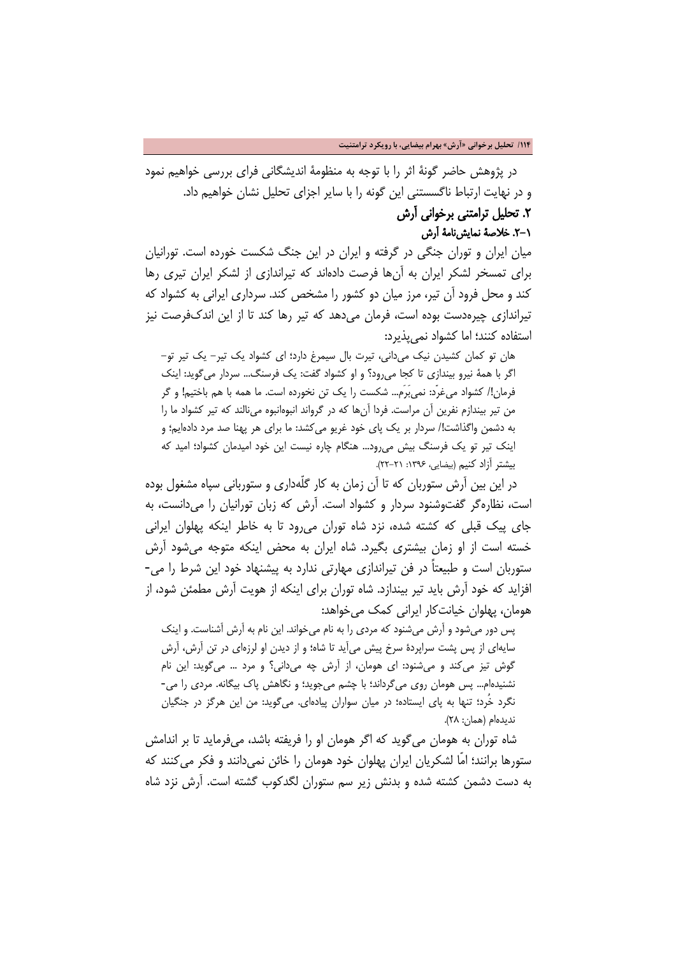در پژوهش حاضر گونۀ اثر را با توجه به منظومۀ اندیشگانی فرای بررسی خواهیم نمود و در نهایت ارتباط ناگسستنی این گونه را با سایر اجزای تحلیل نشان خواهیم داد.

## .2 تحلیل ترامتنی برخوانی آرش

.2-1 خلاصۀ نمایشنامۀ آرش

میان ایران و توران جنگی در گرفته و ایران در این جنگ شکست خورده است. تورانیان برای تمسخر لشکر ایران به آنها فرصت دادهاند که تیراندازی از لشکر ایران تیری رها کند و محل فرود آن تیر، مرز میان دو کشور را مشخص کند. سرداری ایرانی به کشواد که تیراندازی چیرهدست بوده است، فرمان میدهد که تیر رها کند تا از این اندکفرصت نیز استفاده کنند؛ اما کشواد نمیپذیرد:

هان تو کمان کشیدن نیک میدانی، تیرت بال سیمرغ دارد؛ ای کشواد یک تیر- یک تیر تو- اگر با همۀ نیرو بیندازی تا کجا میرود؟ و او کشواد گفت: یک فرسنگ... سردار میگوید: اینک فرمان!/ کشواد میغرّد: نمیبَرَم... شکست را یک تن نخورده است. ما همه با هم باختیم! و گر من تیر بیندازم نفرین آن مراست. فردا آنها که در گرواند انبوهانبوه مینالند که تیر کشواد ما را به دشمن واگذاشت!/ سردار بر یک پای خود غریو میکشد: ما برای هر پهنا صد مرد دادهایم؛ و اینک تیر تو یک فرسنگ بیش میرود... هنگام چاره نیست این خود امیدمان کشواد؛ امید که بیشتر آزاد کنیم (بیضایی، :1396 22-21).

 در این بین آرش ستوربان که تا آن زمان به کار گلّهداری و ستوربانی سپاه مشغول بوده است، نظارهگر گفتوشنود سردار و کشواد است. آرش که زبان تورانیان را میدانست، به جای پیک قبلی که کشته شده، نزد شاه توران میرود تا به خاطر اینکه پهلوان ایرانی خسته است از او زمان بیشتری بگیرد. شاه ایران به محض اینکه متوجه میشود آرش ستوربان است و طبیعتاً در فن تیراندازی مهارتی ندارد به پیشنهاد خود این شرط را می- افزاید که خود آرش باید تیر بیندازد. شاه توران برای اینکه از هویت آرش مطمئن شود، از هومان، پهلوان خیانتکار ایرانی کمک میخواهد:

پس دور میشود و آرش میشنود که مردی را به نام میخواند. این نام به آرش آشناست. و اینک سایهای از پس پشت سراپردۀ سرخ پیش میآید تا شاه؛ و از دیدن او لرزهای در تن آرش، آرش گوش تیز میکند و میشنود: ای هومان، از آرش چه میدانی؟ و مرد ... میگوید: این نام نشنیدهام... پس هومان روی میگرداند؛ با چشم میجوید؛ و نگاهش پاک بیگانه. مردی را می- نگرد خُرد؛ تنها به پای ایستاده؛ در میان سواران پیادهای. میگوید: من این هرگز در جنگیان ندیدهام (همان: 28).

 شاه توران به هومان میگوید که اگر هومان او را فریفته باشد، میفرماید تا بر اندامش ستورها برانند؛ امّا لشکریان ایران پهلوان خود هومان را خائن نمیدانند و فکر میکنند که به دست دشمن کشته شده و بدنش زیر سم ستوران لگدکوب گشته است. آرش نزد شاه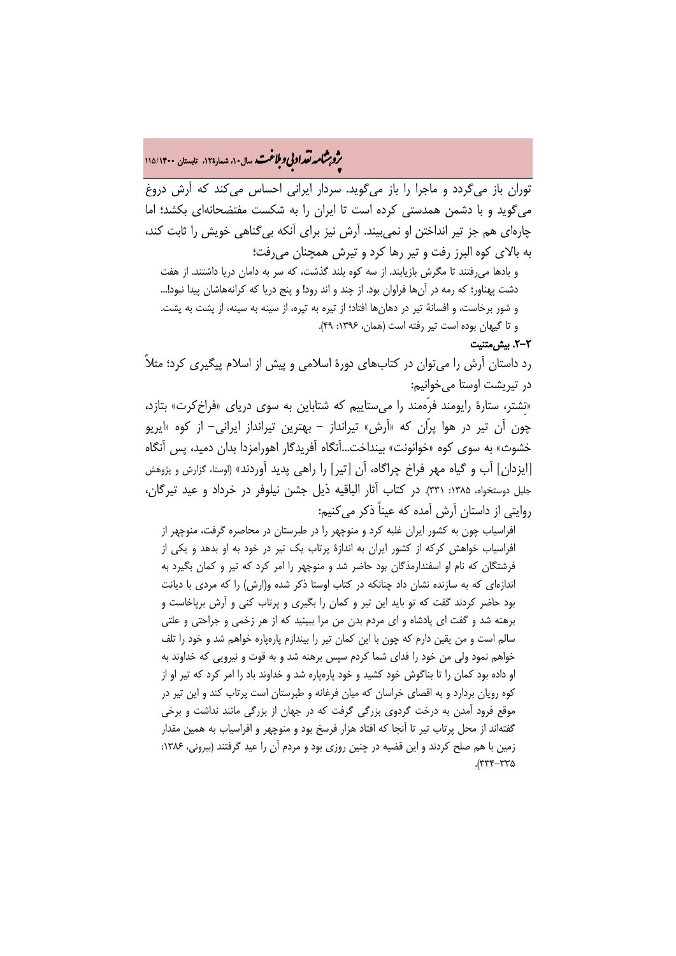# **.<br>بروبرشامه تقداد بی و ملاغت.** سال ۱۰، شمار۱۲۵، تابستان ۱۱۵/۱۴۰۰<br>پ

توران باز میگردد و ماجرا را باز میگوید. سردار ایرانی احساس میکند که آرش دروغ میگوید و با دشمن همدستی کرده است تا ایران را به شکست مفتضحانهای بکشد؛ اما چارهای هم جز تیر انداختن او نمیبیند. آرش نیز برای آنکه بیگناهی خویش را ثابت کند، به بالای کوه البرز رفت و تیر رها کرد و تیرش همچنان میرفت؛

و بادها میرفتند تا مگرش بازیابند. از سه کوه بلند گذشت، که سر به دامان دریا داشتند. از هفت دشت پهناور؛ که رمه در آنها فراوان بود. از چند و اند رود! و پنج دریا که کرانههاشان پیدا نبود!... و شور برخاست، و افسانۀ تیر در دهانها افتاد؛ از تیره به تیره، از سینه به سینه، از پشت به پشت. و تا گیهان بوده است تیر رفته است (همان، :1396 49).

### .2-2 بیشمتنیت

رد داستان آرش را میتوان در کتابهای دورۀ اسلامی و پیش از اسلام پیگیری کرد؛ مثلاً در تیریشت اوستا میخوانیم:

«تِشتر، ستارۀ رایومند فرّهمند را میستاییم که شتاباین به سوی دریای «فراخکرت» بتازد، چون آن تیر در هوا پرّان که «آرش» تیرانداز - بهترین تیرانداز ایرانی- از کوه «ایریو خشوث» به سوی کوه «خوانونت» بینداخت...آنگاه آفریدگار اهورامزدا بدان دمید، پس آنگاه [ایزدان] آب و گیاه مهر فراخ چراگاه، آن [تیر] را راهی پدید آوردند» (اوستا، گزارش و پژوهش جلیل دوستخواه، ۱۳۸۵: ۳۳۱). در کتاب آثار الباقیه ذیل جشن نیلوفر در خرداد و عید تیرگان، روایتی از داستان آرش آمده که عیناً ذکر میکنیم:

افراسیاب چون به کشور ایران غلبه کرد و منوچهر را در طبرستان در محاصره گرفت، منوچهر از افراسیاب خواهش کرکه از کشور ایران به اندازۀ پرتاب یک تیر در خود به او بدهد و یکی از فرشتگان که نام او اسفندارمذگان بود حاضر شد و منوچهر را امر کرد که تیر و کمان بگیرد به اندازهای که به سازنده نشان داد چنانکه در کتاب اوستا ذکر شده و(ارش) را که مردی با دیانت بود حاضر کردند گفت که تو باید این تیر و کمان را بگیری و پرتاب کنی و آرش برپاخاست و برهنه شد و گفت ای پادشاه و ای مردم بدن من مرا ببینید که از هر زخمی و جراحتی و علتی سالم است و من یقین دارم که چون با این کمان تیر را بیندازم پارهپاره خواهم شد و خود را تلف خواهم نمود ولی من خود را فدای شما کردم سپس برهنه شد و به قوت و نیرویی که خداوند به او داده بود کمان را تا بناگوش خود کشید و خود پارهپاره شد و خداوند باد را امر کرد که تیر او از کوه رویان بردارد و به اقصای خراسان که میان فرغانه و طبرستان است پرتاب کند و این تیر در موقع فرود آمدن به درخت گردوی بزرگی گرفت که در جهان از بزرگی مانند نداشت و برخی گفتهاند از محل پرتاب تیر تا آنجا که افتاد هزار فرسخ بود و منوچهر و افراسیاب به همین مقدار زمین با هم صلح کردند و این قضیه در چنین روزی بود و مردم آن را عید گرفتند (بیرونی، ۱۳۸۶:  $277 - 777$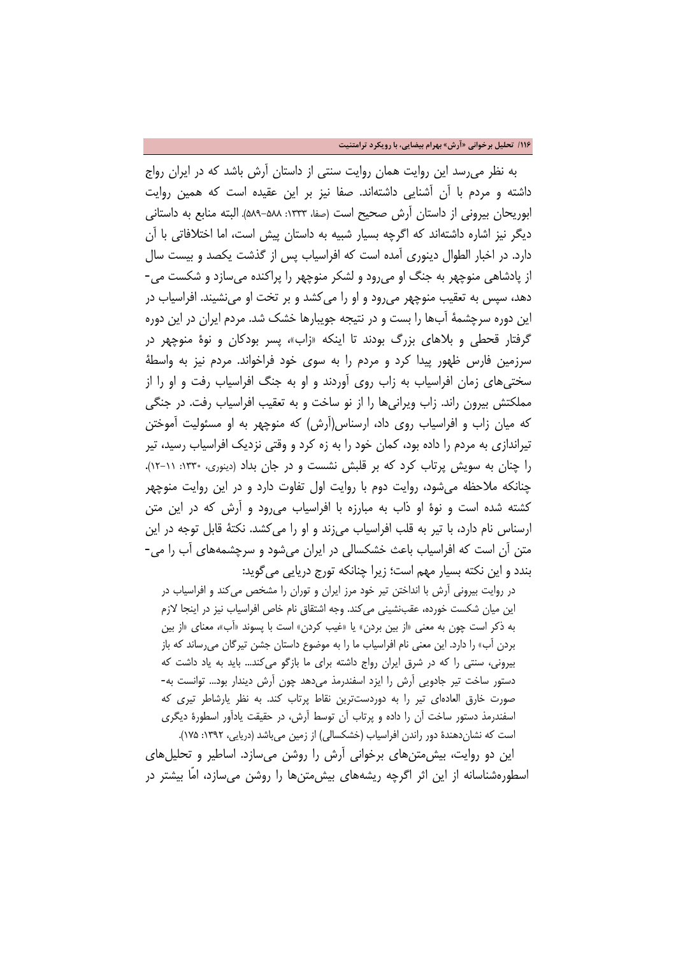**/116 تحلیل برخوانی «آرش» بهرام بیضایی، با رویکرد ترامتنیت**

 به نظر میرسد این روایت همان روایت سنتی از داستان آرش باشد که در ایران رواج داشته و مردم با آن آشنایی داشتهاند. صفا نیز بر این عقیده است که همین روایت ابوریحان بیرونی از داستان آرش صحیح است (صفا، ١٣٣٣: ۵٨٨-۵٨٩). البته منابع به داستانی دیگر نیز اشاره داشتهاند که اگرچه بسیار شبیه به داستان پیش است، اما اختلافاتی با آن دارد. در اخبار الطوال دینوری آمده است که افراسیاب پس از گذشت یکصد و بیست سال از پادشاهی منوچهر به جنگ او میرود و لشکر منوچهر را پراکنده میسازد و شکست می- دهد، سپس به تعقیب منوچهر میرود و او را میکشد و بر تخت او مینشیند. افراسیاب در این دوره سرچشمۀ آبها را بست و در نتیجه جویبارها خشک شد. مردم ایران در این دوره گرفتار قحطی و بلاهای بزرگ بودند تا اینکه «زاب»، پسر بودکان و نوۀ منوچهر در سرزمین فارس ظهور پیدا کرد و مردم را به سوی خود فراخواند. مردم نیز به واسطۀ سختیهای زمان افراسیاب به زاب روی آوردند و او به جنگ افراسیاب رفت و او را از مملکتش بیرون راند. زاب ویرانیها را از نو ساخت و به تعقیب افراسیاب رفت. در جنگی که میان زاب و افراسیاب روی داد، ارسناس(آرش) که منوچهر به او مسئولیت آموختن تیراندازی به مردم را داده بود، کمان خود را به زه کرد و وقتی نزدیک افراسیاب رسید، تیر را چنان به سویش پرتاب کرد که بر قلبش نشست و در جان بداد (دینوری، :1330 12-11). چنانکه ملاحظه میشود، روایت دوم با روایت اول تفاوت دارد و در این روایت منوچهر کشته شده است و نوۀ او ذاب به مبارزه با افراسیاب میرود و آرش که در این متن ارسناس نام دارد، با تیر به قلب افراسیاب میزند و او را میکشد. نکتۀ قابل توجه در این متن آن است که افراسیاب باعث خشکسالی در ایران میشود و سرچشمههای آب را می- بندد و این نکته بسیار مهم است؛ زیرا چنانکه تورج دریایی میگوید:

در روایت بیرونی آرش با انداختن تیر خود مرز ایران و توران را مشخص میکند و افراسیاب در این میان شکست خورده، عقبنشینی میکند. وجه اشتقاق نام خاص افراسیاب نیز در اینجا لازم به ذکر است چون به معنی «از بین بردن» یا «غیب کردن» است با پسوند «آب»، معنای «از بین بردن آب» را دارد. این معنی نام افراسیاب ما را به موضوع داستان جشن تیرگان میرساند که باز بیرونی، سنتی را که در شرق ایران رواج داشته برای ما بازگو میکند... باید به یاد داشت که دستور ساخت تیر جادویی آرش را ایزد اسفندرمذ میدهد چون آرش دیندار بود... توانست به- صورت خارق العادهای تیر را به دوردستترین نقاط پرتاب کند. به نظر یارشاطر تیری که اسفندرمذ دستور ساخت آن را داده و پرتاب آن توسط آرش، در حقیقت یادآور اسطورۀ دیگری است که نشاندهندۀ دور راندن افراسیاب (خشکسالی) از زمین میباشد (دریایی، :1392 175).

 این دو روایت، بیشمتنهای برخوانی آرش را روشن میسازد. اساطیر و تحلیلهای اسطورهشناسانه از این اثر اگرچه ریشههای بیشمتنها را روشن میسازد، امّا بیشتر در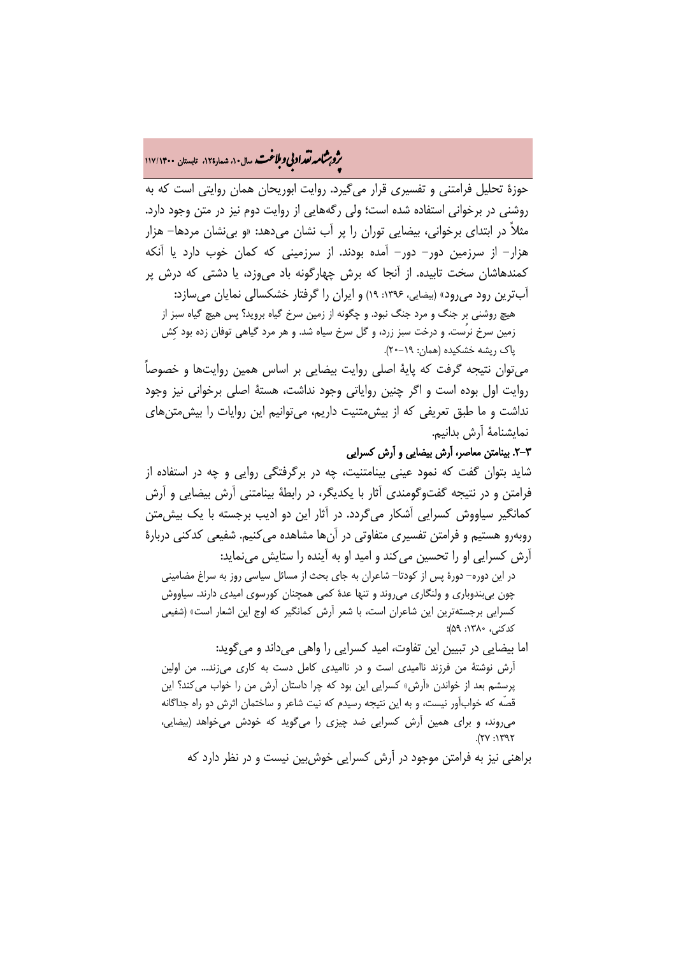# ه م**شمار تقراد بي و ملاغت** سال ۱۰ شمار۱۲۵، تابستان ۱۱۷/۱۴۰۰<br>و

حوزۀ تحلیل فرامتنی و تفسیری قرار میگیرد. روایت ابوریحان همان روایتی است که به روشنی در برخوانی استفاده شده است؛ ولی رگههایی از روایت دوم نیز در متن وجود دارد. مثلاً در ابتدای برخوانی، بیضایی توران را پر آب نشان میدهد: «و بینشان مردها- هزار هزار- از سرزمین دور- دور- آمده بودند. از سرزمینی که کمان خوب دارد یا آنکه کمندهاشان سخت تابیده. از آنجا که برش چهارگونه باد میوزد، یا دشتی که درش پر آبترین رود می رود» (بیضایی، ۱۳۹۶: ۱۹) و ایران را گرفتار خشکسالی نمایان می سازد: هیچ روشنی بر جنگ و مرد جنگ نبود. و چگونه از زمین سرخ گیاه بروید؟ پس هیچ گیاه سبز از

زمین سرخ نرُست. و درخت سبز زرد، و گل سرخ سیاه شد. و هر مرد گیاهی توفان زده بود کِش پاک ریشه خشکیده (همان: 20-19).

میتوان نتیجه گرفت که پایۀ اصلی روایت بیضایی بر اساس همین روایتها و خصوصاً روایت اول بوده است و اگر چنین روایاتی وجود نداشت، هستۀ اصلی برخوانی نیز وجود نداشت و ما طبق تعریفی که از بیشمتنیت داریم، میتوانیم این روایات را بیشمتنهای نمایشنامۀ آرش بدانیم.

### .2-3 بینامتن معاصر، آرش بیضایی و آرش کسرایی

شاید بتوان گفت که نمود عینی بینامتنیت، چه در برگرفتگی روایی و چه در استفاده از فرامتن و در نتیجه گفتوگومندی آثار با یکدیگر، در رابطۀ بینامتنی آرش بیضایی و آرش کمانگیر سیاووش کسرایی آشکار میگردد. در آثار این دو ادیب برجسته با یک بیشمتن روبهرو هستیم و فرامتن تفسیری متفاوتی در آنها مشاهده میکنیم. شفیعی کدکنی دربارۀ آرش کسرایی او را تحسین میکند و امید او به آینده را ستایش مینماید:

در این دوره- دورۀ پس از کودتا- شاعران به جای بحث از مسائل سیاسی روز به سراغ مضامینی چون بیبندوباری و ولنگاری میروند و تنها عدۀ کمی همچنان کورسوی امیدی دارند. سیاووش کسرایی برجستهترین این شاعران است، با شعر آرش کمانگیر که اوج این اشعار است» (شفیعی کدکنی، :1380 59)؛

اما بیضایی در تبیین این تفاوت، امید کسرایی را واهی میداند و میگوید: آرش نوشتۀ من فرزند ناامیدی است و در ناامیدی کامل دست به کاری میزند... من اولین پرسشم بعد از خواندن «آرش» کسرایی این بود که چرا داستان آرش من را خواب میکند؟ این قصّه که خوابآور نیست، و به این نتیجه رسیدم که نیت شاعر و ساختمان اثرش دو راه جداگانه میروند، و برای همین آرش کسرایی ضد چیزی را میگوید که خودش میخواهد (بیضایی،  $Y$  $Y$  $Y$ :  $YY$ 

براهنی نیز به فرامتن موجود در آرش کسرایی خوشبین نیست و در نظر دارد که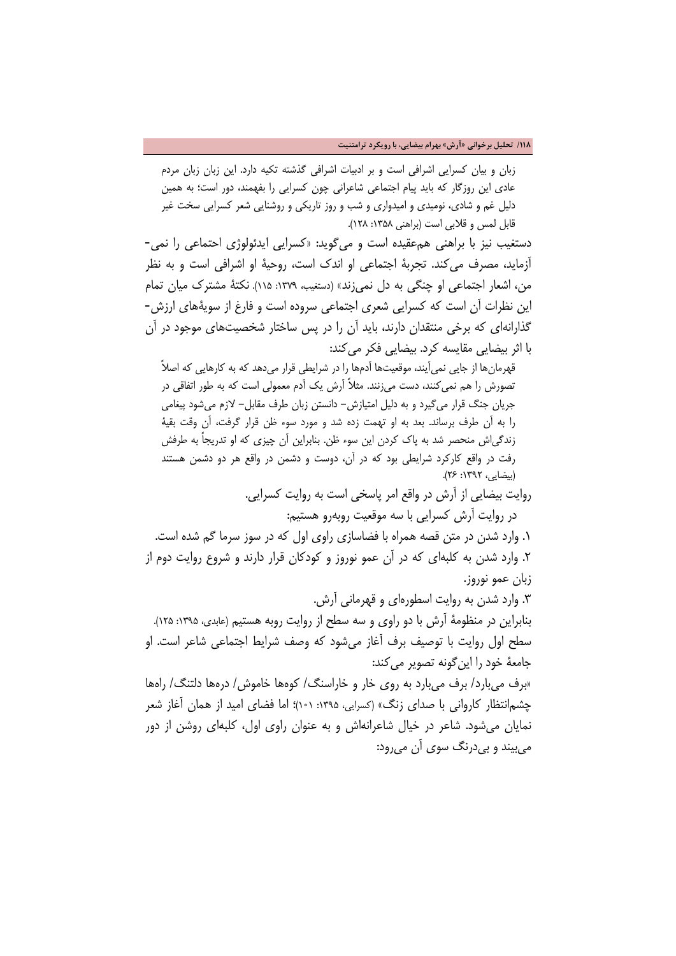**/118 تحلیل برخوانی «آرش» بهرام بیضایی، با رویکرد ترامتنیت**

زبان و بیان کسرایی اشرافی است و بر ادبیات اشرافی گذشته تکیه دارد. این زبان زبان مردم عادی این روزگار که باید پیام اجتماعی شاعرانی چون کسرایی را بفهمند، دور است؛ به همین دلیل غم و شادی، نومیدی و امیدواری و شب و روز تاریکی و روشنایی شعر کسرایی سخت غیر قابل لمس و قلابی است (براهنی ۱۳۵۸: ۱۲۸).

دستغیب نیز با براهنی همعقیده است و میگوید: «کسرایی ایدئولوژی احتماعی را نمی- آزماید، مصرف میکند. تجربۀ اجتماعی او اندک است، روحیۀ او اشرافی است و به نظر من، اشعار اجتماعی او چنگی به دل نمیزند» (دستغیب، ۱۳۷۹: ۱۱۵). نکتۀ مشترک میان تمام این نظرات آن است که کسرایی شعری اجتماعی سروده است و فارغ از سویۀهای ارزش- گذارانهای که برخی منتقدان دارند، باید آن را در پس ساختار شخصیتهای موجود در آن با اثر بیضایی مقایسه کرد. بیضایی فکر می کند:

قهرمانها از جایی نمیآیند، موقعیتها آدمها را در شرایطی قرار میدهد که به کارهایی که اصلاً تصورش را هم نمیکنند، دست میزنند. مثلاً آرش یک آدم معمولی است که به طور اتفاقی در جریان جنگ قرار میگیرد و به دلیل امتیازش- دانستن زبان طرف مقابل- لازم میشود پیغامی را به آن طرف برساند. بعد به او تهمت زده شد و مورد سوء ظن قرار گرفت، آن وقت بقیۀ زندگیاش منحصر شد به پاک کردن این سوء ظن. بنابراین آن چیزی که او تدریجاً به طرفش رفت در واقع کارکرد شرایطی بود که در آن، دوست و دشمن در واقع هر دو دشمن هستند (بیضایی، :1392 26).

> روایت بیضایی از آرش در واقع امر پاسخی است به روایت کسرایی. در روایت آرش کسرایی با سه موقعیت روبهرو هستیم:

.1 وارد شدن در متن قصه همراه با فضاسازی راوی اول که در سوز سرما گم شده است. .2 وارد شدن به کلبهای که در آن عمو نوروز و کودکان قرار دارند و شروع روایت دوم از زبان عمو نوروز.

.3 وارد شدن به روایت اسطورهای و قهرمانی آرش. بنابراین در منظومۀ آرش با دو راوی و سه سطح از روایت روبه هستیم (عابدی، :1395 125). سطح اول روایت با توصیف برف آغاز میشود که وصف شرایط اجتماعی شاعر است. او جامعۀ خود را این گونه تصویر می کند:

«برف میبارد/ برف میبارد به روی خار و خاراسنگ/ کوهها خاموش/ درهها دلتنگ/ راهها چشمانتظار کاروانی با صدای زنگ» (کسرایی، :1395 101)؛ اما فضای امید از همان آغاز شعر نمایان میشود. شاعر در خیال شاعرانهاش و به عنوان راوی اول، کلبهای روشن از دور میبیند و بیدرنگ سوی آن میرود: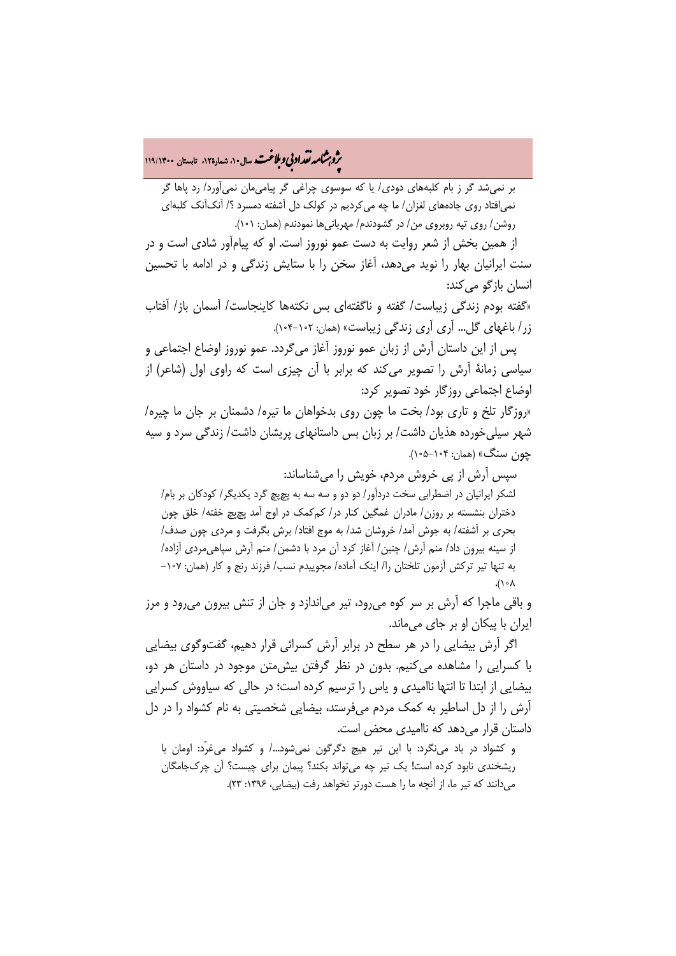بلا� �و � ت ��نا ، شمارۀ،12 تابستان **119/**<sup>1400</sup> �قد اد ، سال10 �ی و

بر نمیشد گر ز بام کلبههای دودی/ یا که سوسوی چراغی گر پیامیمان نمیآورد/ رد پاها گر نمیافتاد روی جادههای لغزان/ ما چه میکردیم در کولک دل آشفته دمسرد ؟/ آنکآنک کلبهای روشن/ روی تپه روبروی من/ در گشودندم/ مهربانیها نمودندم (همان: 101).

 از همین بخش از شعر روایت به دست عمو نوروز است. او که پیامآور شادی است و در سنت ایرانیان بهار را نوید میدهد، آغاز سخن را با ستایش زندگی و در ادامه با تحسین انسان بازگو میکند:

«گفته بودم زندگی زیباست/ گفته و ناگفتهای بس نکتهها کاینجاست/ آسمان باز/ آفتاب زر/ باغهای گل... آری آری زندگی زیباست» (همان: 104-102).

 پس از این داستان آرش از زبان عمو نوروز آغاز میگردد. عمو نوروز اوضاع اجتماعی و سیاسی زمانۀ آرش را تصویر میکند که برابر با آن چیزی است که راوی اول (شاعر) از اوضاع اجتماعی روزگار خود تصویر کرد:

«روزگار تلخ و تاری بود/ بخت ما چون روی بدخواهان ما تیره/ دشمنان بر جان ما چیره/ شهر سیلیخورده هذیان داشت/ بر زبان بس داستانهای پریشان داشت/ زندگی سرد و سیه چون سنگ» (همان: 105-104).

 سپس آرش از پی خروش مردم، خویش را میشناساند: لشکر ایرانیان در اضطرابی سخت دردآور/ دو دو و سه سه به پچپچ گرد یکدیگر/ کودکان بر بام/ دختران بنشسته بر روزن/ مادران غمگین کنار در/ کمکمک در اوج آمد پچپچ خفته/ خلق چون بحری بر آشفته/ به جوش آمد/ خروشان شد/ به موج افتاد/ برش بگرفت و مردی چون صدف/ از سینه بیرون داد/ منم آرش/ چنین/ آغاز کرد آن مرد با دشمن/ منم آرش سپاهیمردی آزاده/ به تنها تیر ترکش آزمون تلختان را/ اینک آماده/ مجوییدم نسب/ فرزند رنج و کار (همان: -107 ،(108

و باقی ماجرا که آرش بر سر کوه میرود، تیر میاندازد و جان از تنش بیرون میرود و مرز ایران با پیکان او بر جای میماند.

 اگر آرش بیضایی را در هر سطح در برابر آرش کسرائی قرار دهیم، گفتوگوی بیضایی با کسرایی را مشاهده میکنیم. بدون در نظر گرفتن بیشمتن موجود در داستان هر دو، بیضایی از ابتدا تا انتها ناامیدی و یاس را ترسیم کرده است؛ در حالی که سیاووش کسرایی آرش را از دل اساطیر به کمک مردم میفرستد، بیضایی شخصیتی به نام کشواد را در دل داستان قرار می دهد که ناامیدی محض است.

و کشواد در باد می نگرد: با این تیر هیچ دگرگون نمیشود…/ و کشواد میءرّد: اومان با ریشخندی نابود کرده است! یک تیر چه میتواند بکند؟ پیمان برای چیست؟ آن چرکجامگان میدانند که تیر ما، از آنچه ما را هست دورتر نخواهد رفت (بیضایی، ۱۳۹۶: ۲۳).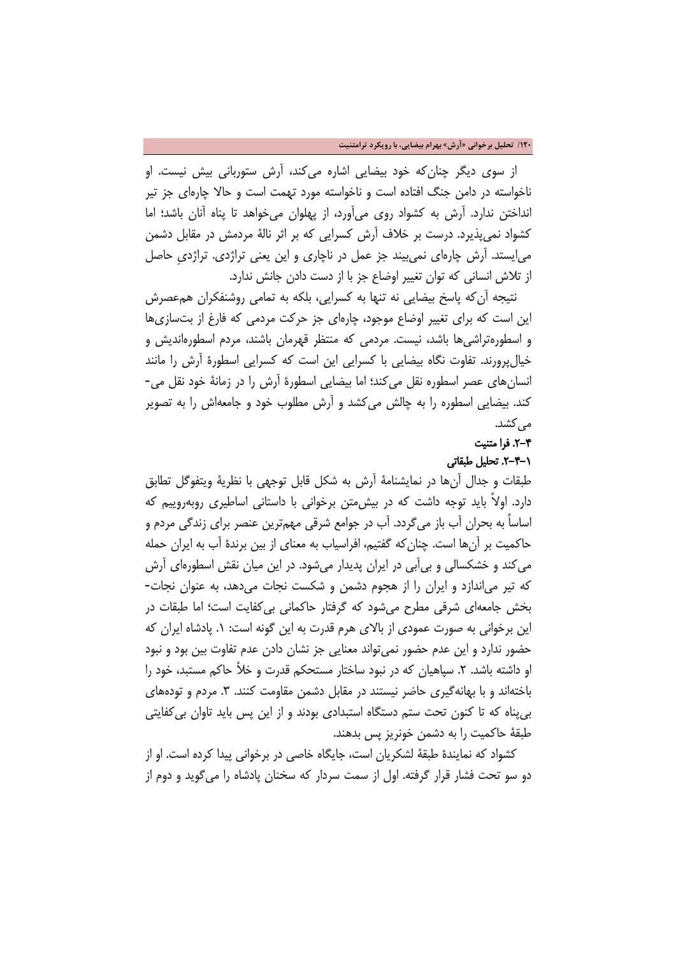**/120 تحلیل برخوانی «آرش» بهرام بیضایی، با رویکرد ترامتنیت**

 از سوی دیگر چنانکه خود بیضایی اشاره میکند، آرش ستوربانی بیش نیست. او ناخواسته در دامن جنگ افتاده است و ناخواسته مورد تهمت است و حالا چارهای جز تیر انداختن ندارد. آرش به کشواد روی میآورد، از پهلوان میخواهد تا پناه آنان باشد؛ اما کشواد نمیپذیرد. درست بر خلاف آرش کسرایی که بر اثر نالۀ مردمش در مقابل دشمن میایستد. آرش چارهای نمیبیند جز عمل در ناچاری و این یعنی تراژدی. تراژدیِ حاصل از تلاش انسانی که توان تغییر اوضاع جز با از دست دادن جانش ندارد.

 نتیجه آنکه پاسخ بیضایی نه تنها به کسرایی، بلکه به تمامی روشنفکران همعصرش این است که برای تغییر اوضاع موجود، چارهای جز حرکت مردمی که فارغ از بتسازیها و اسطورهتراشیها باشد، نیست. مردمی که منتظر قهرمان باشند، مردم اسطورهاندیش و خیالپرورند. تفاوت نگاه بیضایی با کسرایی این است که کسرایی اسطورۀ آرش را مانند انسانهای عصر اسطوره نقل میکند؛ اما بیضایی اسطورۀ آرش را در زمانۀ خود نقل می- کند. بیضایی اسطوره را به چالش میکشد و آرش مطلوب خود و جامعهاش را به تصویر مے ,کشد.

## .2-4 فرا متنیت

## .2-4-1 تحلیل طبقاتی

طبقات و جدال آنها در نمایشنامۀ آرش به شکل قابل توجهی با نظریۀ ویتفوگل تطابق دارد. اولاً باید توجه داشت که در بیشمتن برخوانی با داستانی اساطیری روبهروییم که اساساً به بحران آب باز میگردد. آب در جوامع شرقی مهمترین عنصر برای زندگی مردم و حاکمیت بر آنها است. چنانکه گفتیم، افراسیاب به معنای از بین برندۀ آب به ایران حمله میکند و خشکسالی و بیآبی در ایران پدیدار میشود. در این میان نقش اسطورهای آرش که تیر میاندازد و ایران را از هجوم دشمن و شکست نجات میدهد، به عنوان نجات- بخش جامعهای شرقی مطرح میشود که گرفتار حاکمانی بیکفایت است؛ اما طبقات در این برخوانی به صورت عمودی از بالای هرم قدرت به این گونه است: .1 پادشاه ایران که حضور ندارد و این عدم حضور نمیتواند معنایی جز نشان دادن عدم تفاوت بین بود و نبود او داشته باشد. ۲. سپاهیان که در نبود ساختار مستحکم قدرت و خلاً حاکم مستبد، خود را باختهاند و با بهانهگیری حاضر نیستند در مقابل دشمن مقاومت کنند. ۳. مردم و تودههای بیپناه که تا کنون تحت ستم دستگاه استبدادی بودند و از این پس باید تاوان بیکفایتی طبقۀ حاکمیت را به دشمن خونریز پس بدهند.

 کشواد که نمایندۀ طبقۀ لشکریان است، جایگاه خاصی در برخوانی پیدا کرده است. او از دو سو تحت فشار قرار گرفته. اول از سمت سردار که سخنان پادشاه را میگوید و دوم از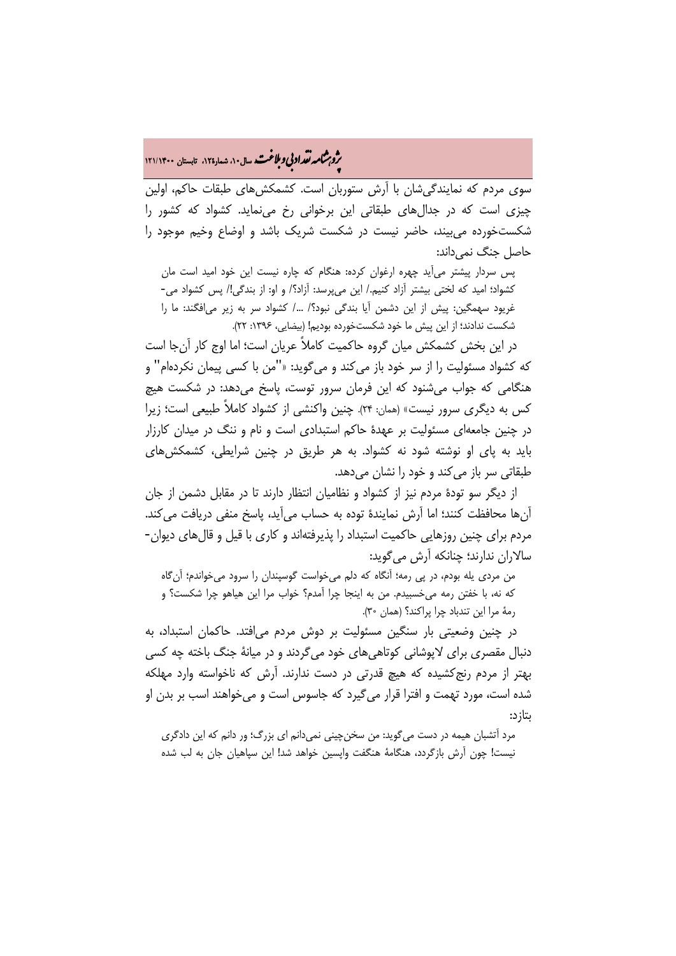# ه م**شمار تقداد بي و ملاغت** سال۱۰، شمار۱۲۵، تابستان ۱۲۱/۱۴۰۰<br>په

سوی مردم که نمایندگیشان با آرش ستوربان است. کشمکشهای طبقات حاکم، اولین چیزی است که در جدالهای طبقاتی این برخوانی رخ مینماید. کشواد که کشور را شکستخورده میبیند، حاضر نیست در شکست شریک باشد و اوضاع وخیم موجود را حاصل جنگ نمیداند:

پس سردار پیشتر میآید چهره ارغوان کرده: هنگام که چاره نیست این خود امید است مان کشواد؛ امید که لختی بیشتر آزاد کنیم/. این میپرسد: آزاد؟/ و او: از بندگی!/ پس کشواد می- غریود سهمگین: پیش از این دشمن آیا بندگی نبود؟/ /... کشواد سر به زیر میافگند: ما را شکست ندادند؛ از این پیش ما خود شکستخورده بودیم! (بیضایی، :1396 22).

 در این بخش کشمکش میان گروه حاکمیت کاملاً عریان است؛ اما اوج کار آنجا است که کشواد مسئولیت را از سر خود باز میکند و میگوید: «"من با کسی پیمان نکردهام" و هنگامی که جواب میشنود که این فرمان سرور توست، پاسخ میدهد: در شکست هیچ کس به دیگری سرور نیست» (همان: 24). چنین واکنشی از کشواد کاملاً طبیعی است؛ زیرا در چنین جامعهای مسئولیت بر عهدۀ حاکم استبدادی است و نام و ننگ در میدان کارزار باید به پای او نوشته شود نه کشواد. به هر طریق در چنین شرایطی، کشمکشهای طبقاتی سر باز میکند و خود را نشان میدهد.

 از دیگر سو تودۀ مردم نیز از کشواد و نظامیان انتظار دارند تا در مقابل دشمن از جان آنها محافظت کنند؛ اما آرش نمایندۀ توده به حساب میآید، پاسخ منفی دریافت میکند. مردم برای چنین روزهایی حاکمیت استبداد را پذیرفتهاند و کاری با قیل و قالهای دیوان- سالاران ندارند؛ چنانکه آرش میگوید:

من مردی یله بودم، در پی رمه؛ آنگاه که دلم میخواست گوسپندان را سرود میخواندم؛ آنگاه که نه، با خفتن رمه میخسبیدم. من به اینجا چرا آمدم؟ خواب مرا این هیاهو چرا شکست؟ و رمۀ مرا این تندباد چرا پراکند؟ (همان 30).

 در چنین وضعیتی بار سنگین مسئولیت بر دوش مردم میافتد. حاکمان استبداد، به دنبال مقصری برای لاپوشانی کوتاهیهای خود میگردند و در میانۀ جنگ باخته چه کسی بهتر از مردم رنجکشیده که هیچ قدرتی در دست ندارند. آرش که ناخواسته وارد مهلکه شده است، مورد تهمت و افترا قرار میگیرد که جاسوس است و میخواهند اسب بر بدن او بتازد:

مرد آتشبان هیمه در دست میگوید: من سخنچینی نمیدانم ای بزرگ؛ ور دانم که این دادگری نیست! چون آرش بازگردد، هنگامۀ هنگفت واپسین خواهد شد! این سپاهیان جان به لب شده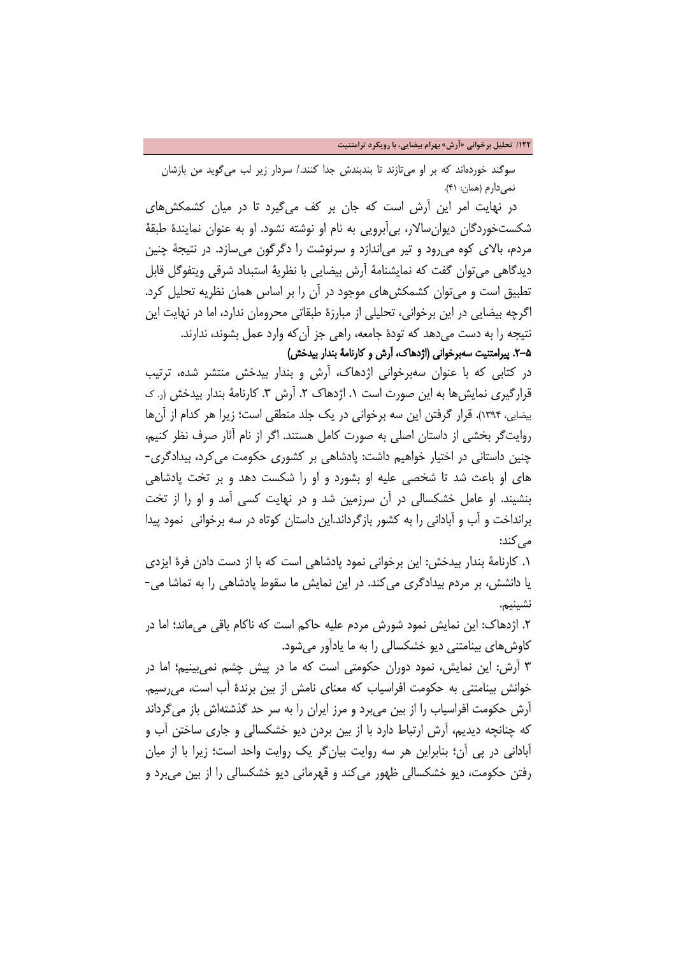**/122 تحلیل برخوانی «آرش» بهرام بیضایی، با رویکرد ترامتنیت**

سوگند خوردهاند که بر او میتازند تا بندبندش جدا کنند/. سردار زیر لب میگوید من بازشان نمی دارم (همان: ۴۱).

 در نهایت امر این آرش است که جان بر کف میگیرد تا در میان کشمکشهای شکستخوردگان دیوانسالار، بیآبرویی به نام او نوشته نشود. او به عنوان نمایندۀ طبقۀ مردم، بالای کوه میرود و تیر میاندازد و سرنوشت را دگرگون میسازد. در نتیجۀ چنین دیدگاهی میتوان گفت که نمایشنامۀ آرش بیضایی با نظریۀ استبداد شرقی ویتفوگل قابل تطبیق است و میتوان کشمکشهای موجود در آن را بر اساس همان نظریه تحلیل کرد. اگرچه بیضایی در این برخوانی، تحلیلی از مبارزۀ طبقاتی محرومان ندارد، اما در نهایت این نتیجه را به دست می دهد که تودۀ جامعه، راهی جز آن که وارد عمل بشوند، ندارند. .2-5 پیرامتنیت سهبرخوانی (اژدهاک، آرش و کارنامۀ بندار بیدخش)

در کتابی که با عنوان سهبرخوانی اژدهاک، آرش و بندار بیدخش منتشر شده، ترتیب قرارگیری نمایش ها به این صورت است ۱. اژدهاک ۲. آرش ۳. کارنامۀ بندار بیدخش (ر. ک بیضایی، 1394). قرار گرفتن این سه برخوانی در یک جلد منطقی است؛ زیرا هر کدام از آنها روایتگر بخشی از داستان اصلی به صورت کامل هستند. اگر از نام آثار صرف نظر کنیم، چنین داستانی در اختیار خواهیم داشت: پادشاهی بر کشوری حکومت میکرد، بیدادگری- های او باعث شد تا شخصی علیه او بشورد و او را شکست دهد و بر تخت پادشاهی بنشیند. او عامل خشکسالی در آن سرزمین شد و در نهایت کسی آمد و او را از تخت برانداخت و آب و آبادانی را به کشور بازگرداند.این داستان کوتاه در سه برخوانی نمود پیدا می کند:

.1 کارنامۀ بندار بیدخش: این برخوانی نمود پادشاهی است که با از دست دادن فرۀ ایزدی یا دانشش، بر مردم بیدادگری میکند. در این نمایش ما سقوط پادشاهی را به تماشا می- نشینیم.

.2 اژدهاک: این نمایش نمود شورش مردم علیه حاکم است که ناکام باقی میماند؛ اما در کاوشهای بینامتنی دیو خشکسالی را به ما یادآور میشود.

3 آرش: این نمایش، نمود دوران حکومتی است که ما در پیش چشم نمیبینیم؛ اما در خوانش بینامتنی به حکومت افراسیاب که معنای نامش از بین برندۀ آب است، میرسیم. آرش حکومت افراسیاب را از بین میبرد و مرز ایران را به سر حد گذشتهاش باز میگرداند که چنانچه دیدیم، آرش ارتباط دارد با از بین بردن دیو خشکسالی و جاری ساختن آب و آبادانی در پی آن؛ بنابراین هر سه روایت بیانگر یک روایت واحد است؛ زیرا با از میان رفتن حکومت، دیو خشکسالی ظهور میکند و قهرمانی دیو خشکسالی را از بین میبرد و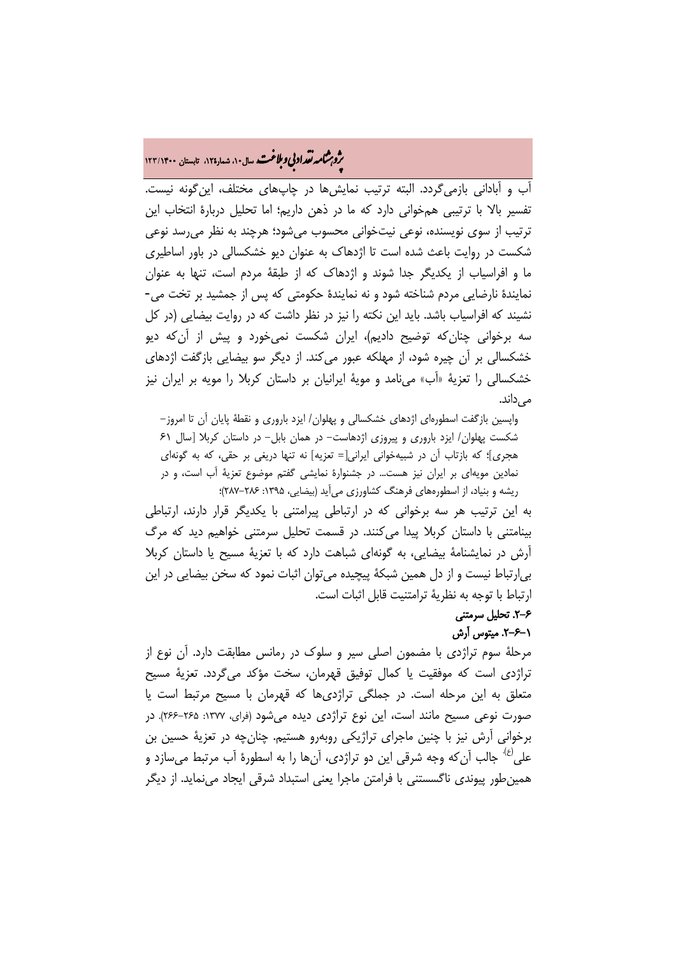# ه م**شمار تقراد بي و بلاغت.** سال ۱۰، شمار۱۲۵، تابستان ۱۲۳/۱۴۰۰<br>په

آب و آبادانی بازمیگردد. البته ترتیب نمایشها در چاپهای مختلف، اینگونه نیست. تفسیر بالا با ترتیبی همخوانی دارد که ما در ذهن داریم؛ اما تحلیل دربارۀ انتخاب این ترتیب از سوی نویسنده، نوعی نیتخوانی محسوب میشود؛ هرچند به نظر میرسد نوعی شکست در روایت باعث شده است تا اژدهاک به عنوان دیو خشکسالی در باور اساطیری ما و افراسیاب از یکدیگر جدا شوند و اژدهاک که از طبقۀ مردم است، تنها به عنوان نمایندۀ نارضایی مردم شناخته شود و نه نمایندۀ حکومتی که پس از جمشید بر تخت می- نشیند که افراسیاب باشد. باید این نکته را نیز در نظر داشت که در روایت بیضایی (در کل سه برخوانی چنانکه توضیح دادیم)، ایران شکست نمیخورد و پیش از آنکه دیو خشکسالی بر آن چیره شود، از مهلکه عبور میکند. از دیگر سو بیضایی بازگفت اژدهای خشکسالی را تعزیۀ «آب» مینامد و مویۀ ایرانیان بر داستان کربلا را مویه بر ایران نیز مے ,داند.

واپسین بازگفت اسطورهای اژدهای خشکسالی و پهلوان/ ایزد باروری و نقطۀ پایان آن تا امروز- شکست پهلوان/ ایزد باروری و پیروزی اژدهاست- در همان بابل- در داستان کربلا [سال 61 هجری]؛ که بازتاب آن در شبیهخوانی ایرانی[= تعزیه] نه تنها دریغی بر حقی، که به گونهای نمادین مویهای بر ایران نیز هست... در جشنوارۀ نمایشی گفتم موضوع تعزیۀ آب است، و در ریشه و بنیاد، از اسطورههای فرهنگ کشاورزی میآید (بیضایی، ۱۳۹۵: ۲۸۶-۲۸۷)؛

به این ترتیب هر سه برخوانی که در ارتباطی پیرامتنی با یکدیگر قرار دارند، ارتباطی بینامتنی با داستان کربلا پیدا میکنند. در قسمت تحلیل سرمتنی خواهیم دید که مرگ آرش در نمایشنامۀ بیضایی، به گونهای شباهت دارد که با تعزیۀ مسیح یا داستان کربلا بیارتباط نیست و از دل همین شبکۀ پیچیده میتوان اثبات نمود که سخن بیضایی در این ارتباط با توجه به نظریۀ ترامتنیت قابل اثبات است.

### .2-6 تحلیل سرمتنی .2-6-1 میتوس آرش

مرحلۀ سوم تراژدی با مضمون اصلی سیر و سلوک در رمانس مطابقت دارد. آن نوع از تراژدی است که موفقیت یا کمال توفیق قهرمان، سخت مؤکد میگردد. تعزیۀ مسیح متعلق به این مرحله است. در جملگی تراژدیها که قهرمان با مسیح مرتبط است یا صورت نوعی مسیح مانند است، این نوع تراژدی دیده میشود (فرای، :1377 266-265). در برخوانی آرش نیز با چنین ماجرای تراژیکی روبهرو هستیم. چنانچه در تعزیۀ حسین بن جالب آنکه وجه شرقی این دو تراژدی، آنها را به اسطورۀ آب مرتبط میسازد و (ع). علی همینطور پیوندی ناگسستنی با فرامتن ماجرا یعنی استبداد شرقی ایجاد مینماید. از دیگر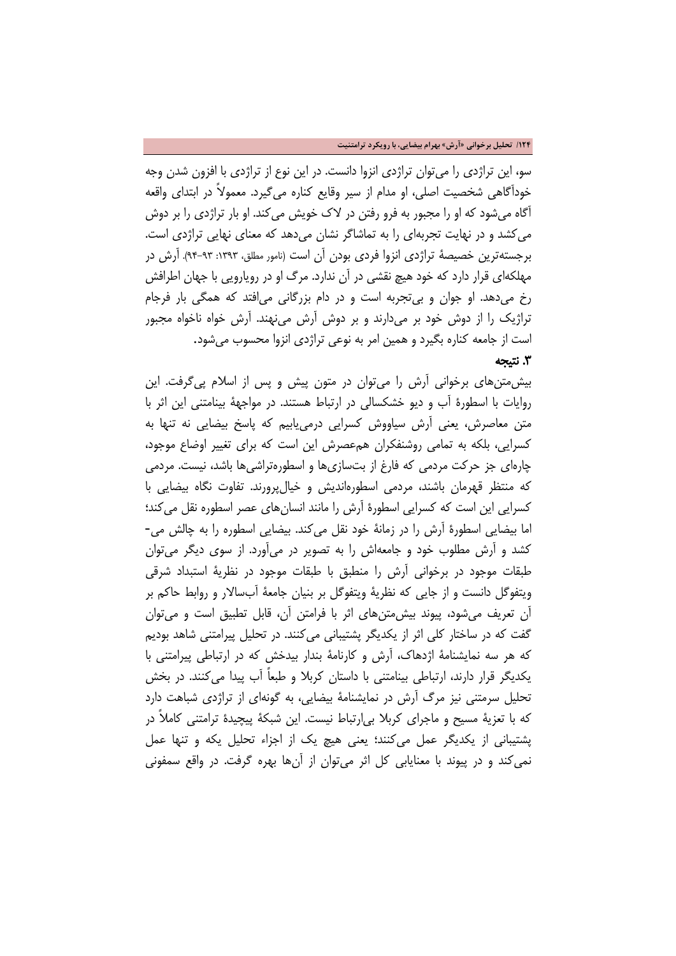#### **/124 تحلیل برخوانی «آرش» بهرام بیضایی، با رویکرد ترامتنیت**

سو، این تراژدی را میتوان تراژدی انزوا دانست. در این نوع از تراژدی با افزون شدن وجه خودآگاهی شخصیت اصلی، او مدام از سیر وقایع کناره میگیرد. معمولاً در ابتدای واقعه آگاه میشود که او را مجبور به فرو رفتن در لاک خویش میکند. او بار تراژدی را بر دوش میکشد و در نهایت تجربهای را به تماشاگر نشان میدهد که معنای نهایی تراژدی است. برجستهترین خصیصۀ تراژدی انزوا فردی بودن آن است (نامور مطلق، :1393 94-93). آرش در مهلکهای قرار دارد که خود هیچ نقشی در آن ندارد. مرگ او در رویارویی با جهان اطرافش رخ میدهد. او جوان و بیتجربه است و در دام بزرگانی میافتد که همگی بار فرجام تراژیک را از دوش خود بر میدارند و بر دوش آرش مینهند. آرش خواه ناخواه مجبور است از جامعه کناره بگیرد و همین امر به نوعی تراژدی انزوا محسوب میشود.

### 3 . نتیجه

بیشمتنهای برخوانی آرش را میتوان در متون پیش و پس از اسلام پیگرفت. این روایات با اسطورۀ آب و دیو خشکسالی در ارتباط هستند. در مواجهۀ بینامتنی این اثر با متن معاصرش، یعنی آرش سیاووش کسرایی درمییابیم که پاسخ بیضایی نه تنها به کسرایی، بلکه به تمامی روشنفکران همعصرش این است که برای تغییر اوضاع موجود، چارهای جز حرکت مردمی که فارغ از بتسازیها و اسطورهتراشیها باشد، نیست. مردمی که منتظر قهرمان باشند، مردمی اسطورهاندیش و خیالپرورند. تفاوت نگاه بیضایی با کسرایی این است که کسرایی اسطورۀ آرش را مانند انسانهای عصر اسطوره نقل میکند؛ اما بیضایی اسطورۀ آرش را در زمانۀ خود نقل میکند. بیضایی اسطوره را به چالش می- کشد و آرش مطلوب خود و جامعهاش را به تصویر در میآورد. از سوی دیگر میتوان طبقات موجود در برخوانی آرش را منطبق با طبقات موجود در نظریۀ استبداد شرقی ویتفوگل دانست و از جایی که نظریۀ ویتفوگل بر بنیان جامعۀ آبسالار و روابط حاکم بر آن تعریف میشود، پیوند بیشمتنهای اثر با فرامتن آن، قابل تطبیق است و میتوان گفت که در ساختار کلی اثر از یکدیگر پشتیبانی میکنند. در تحلیل پیرامتنی شاهد بودیم که هر سه نمایشنامۀ اژدهاک، آرش و کارنامۀ بندار بیدخش که در ارتباطی پیرامتنی با یکدیگر قرار دارند، ارتباطی بینامتنی با داستان کربلا و طبعاً آب پیدا میکنند. در بخش تحلیل سرمتنی نیز مرگ آرش در نمایشنامۀ بیضایی، به گونهای از تراژدی شباهت دارد که با تعزیۀ مسیح و ماجرای کربلا بیارتباط نیست. این شبکۀ پیچیدۀ ترامتنی کاملاً در پشتیبانی از یکدیگر عمل میکنند؛ یعنی هیچ یک از اجزاء تحلیل یکه و تنها عمل نمی کند و در پیوند با معنایابی کل اثر میتوان از آنها بهره گرفت. در واقع سمفونی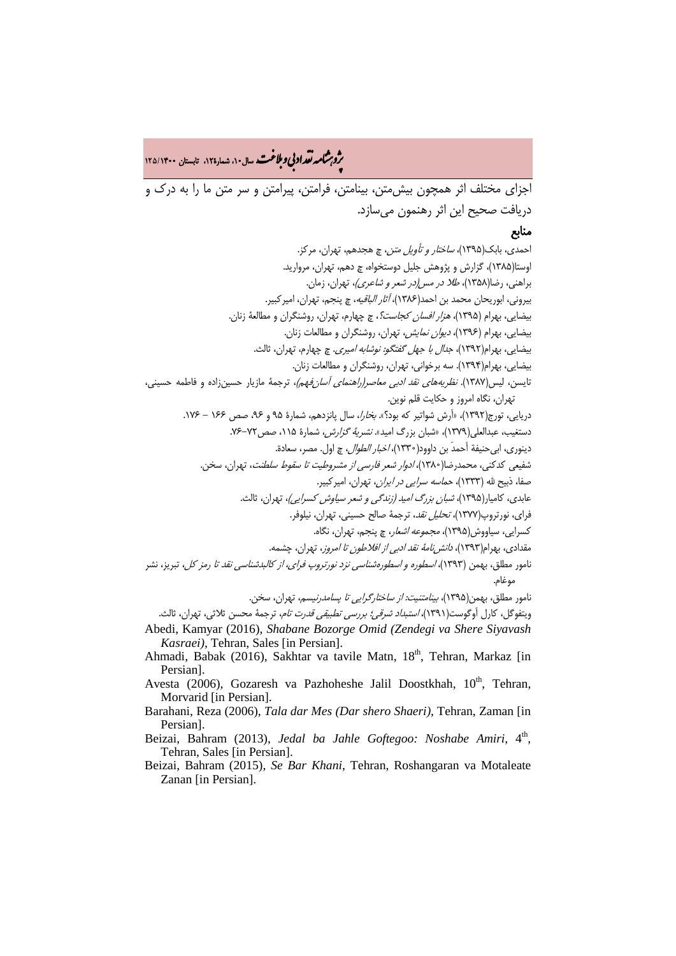ه م**شمار تقراد بي و بلاغت.** سال ۱۰، شمار۱۲۵، تابستان ۱۳۵/۱۴۰۰<br>و

اجزای مختلف اثر همچون بیشمتن، بینامتن، فرامتن، پیرامتن و سر متن ما را به درک و دریافت صحیح این اثر رهنمون میسازد.

### منابع

احمدی، بابک(1395)، ساختار و تأویل متن، چ هجدهم، تهران، مرکز. اوستا(1385)، گزارش و پژوهش جلیل دوستخواه، چ دهم، تهران، مروارید. براهنی، رضا(1358)، طلا در مس(در شعر و شاعری)، تهران، زمان. بیرونی، ابوریحان محمد بن احمد(1386)، آثار الباقیه، چ پنجم، تهران، امیرکبیر. بیضایی، بهرام (1395)، هزار افسان کجاست؟، چ چهارم، تهران، روشنگران و مطالعۀ زنان. بیضایی، بهرام (1396)، دیوان نمایش، تهران، روشنگران و مطالعات زنان. بیضایی، بهرام(1392)، جدال با جهل گفتگو: نوشابه امیری. چ چهارم، تهران، ثالث. بیضایی، بهرام(1394). سه برخوانی، تهران، روشنگران و مطالعات زنان. تایسن، لیس(۱۳۸۷). *نظریههای نقد ادبی معاصر(راهنمای آسان فهم)*، ترجمۀ مازیار حسینزاده و فاطمه حسینی، تهران، نگاه امروز و حکایت قلم نوین. دریایی، تورج(۱۳۹۲)، «آرش شواتیر که بود؟». *بخارا*، سال پانزدهم، شمارۀ ۹۵ و ۹۶، صص ۱۶۶ - ۱۷۶. دستغیب، عبدالعلی(۱۳۷۹)، «شبان بزرگ امید». *نشریۀ گزارش،* شمارۀ ۱۱۵، صص ۷۲-۷۶. دینوری، ابی حنیفة أحمدَ بن داوود(۱۳۳۰)، *اخبار الطوال*، چ اول. مصر، سعادة. شفیعی کدکنی، محمدرضا(1380)، ادوار شعر فارسی از مشروطیت تا سقوط سلطنت، تهران، سخن. صفا، ذبیح الله (1333)، حماسه سرایی در ایران، تهران، امیرکبیر. عابدی، کامیار(1395)، شبان بزرگ امید (زندگی و شعر سیاوش کسرایی)، تهران، ثالث. فرای، نورتروپ(1377)، تحلیل نقد، ترجمۀ صالح حسینی، تهران، نیلوفر. کسرایی، سیاووش(1395)، مجموعه اشعار، چ پنجم، تهران، نگاه. مقدادی، بهرام(۱۳۹۳)، *دانش نامۀ نقد ادبی از افلاطون تا امروز*، تهران، چشمه. نامور مطلق، بهمن (1393)، اسطوره و اسطورهشناسی نزد نورتروپ فرای، از کالبدشناسی نقد تا رمز کل، تبریز، نشر موغام. نامور مطلق، بهمن(1395)، بینامتنیت: از ساختارگرایی تا پسامدرنیسم، تهران، سخن. ویتفوگل، کارل آوگوست(۱۳۹۱)، *استبداد شرقی؛ بررسی تطبیقی قدرت تام*، ترجمۀ محسن ثلاثی، تهران، ثالث.

Abedi, Kamyar (2016), *Shabane Bozorge Omid (Zendegi va Shere Siyavash Kasraei)*, Tehran, Sales [in Persian].

- Ahmadi, Babak (2016), Sakhtar va tavile Matn, 18<sup>th</sup>, Tehran, Markaz [in Persian].
- Avesta (2006), Gozaresh va Pazhoheshe Jalil Doostkhah,  $10<sup>th</sup>$ , Tehran, Morvarid [in Persian].
- Barahani, Reza (2006), *Tala dar Mes (Dar shero Shaeri)*, Tehran, Zaman [in Persian].
- Beizai, Bahram (2013), *Jedal ba Jahle Goftegoo: Noshabe Amiri*, 4<sup>th</sup>, Tehran, Sales [in Persian].

Beizai, Bahram (2015), *Se Bar Khani*, Tehran, Roshangaran va Motaleate Zanan [in Persian].